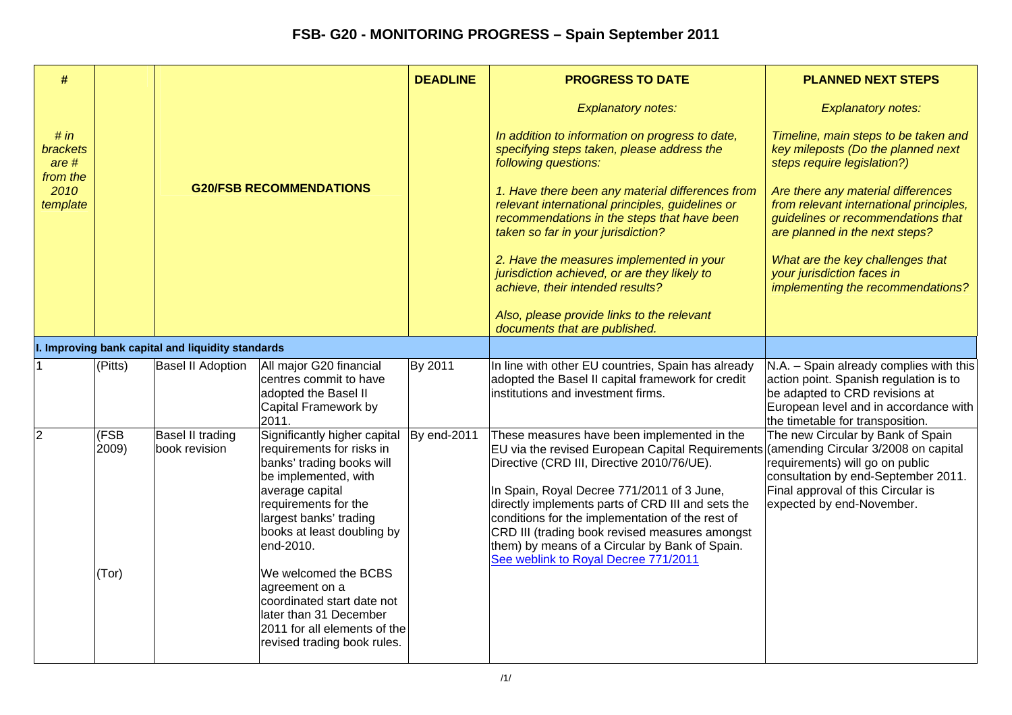| #                                       |                        |                                                   |                                                                                                                                                                                                                                                                                                                                                                                                 | <b>DEADLINE</b> | <b>PROGRESS TO DATE</b>                                                                                                                                                                                                                                                                                                                                                                                                                                                               | <b>PLANNED NEXT STEPS</b>                                                                                                                                                                        |
|-----------------------------------------|------------------------|---------------------------------------------------|-------------------------------------------------------------------------------------------------------------------------------------------------------------------------------------------------------------------------------------------------------------------------------------------------------------------------------------------------------------------------------------------------|-----------------|---------------------------------------------------------------------------------------------------------------------------------------------------------------------------------------------------------------------------------------------------------------------------------------------------------------------------------------------------------------------------------------------------------------------------------------------------------------------------------------|--------------------------------------------------------------------------------------------------------------------------------------------------------------------------------------------------|
|                                         |                        | <b>G20/FSB RECOMMENDATIONS</b>                    |                                                                                                                                                                                                                                                                                                                                                                                                 |                 | <b>Explanatory notes:</b>                                                                                                                                                                                                                                                                                                                                                                                                                                                             | <b>Explanatory notes:</b>                                                                                                                                                                        |
| # in<br>brackets<br>$are #$<br>from the |                        |                                                   |                                                                                                                                                                                                                                                                                                                                                                                                 |                 | In addition to information on progress to date,<br>specifying steps taken, please address the<br>following questions:                                                                                                                                                                                                                                                                                                                                                                 | Timeline, main steps to be taken and<br>key mileposts (Do the planned next<br>steps require legislation?)                                                                                        |
| 2010<br>template                        |                        |                                                   |                                                                                                                                                                                                                                                                                                                                                                                                 |                 | 1. Have there been any material differences from<br>relevant international principles, guidelines or<br>recommendations in the steps that have been<br>taken so far in your jurisdiction?                                                                                                                                                                                                                                                                                             | Are there any material differences<br>from relevant international principles,<br>guidelines or recommendations that<br>are planned in the next steps?                                            |
|                                         |                        |                                                   |                                                                                                                                                                                                                                                                                                                                                                                                 |                 | 2. Have the measures implemented in your<br>jurisdiction achieved, or are they likely to<br>achieve, their intended results?                                                                                                                                                                                                                                                                                                                                                          | What are the key challenges that<br>your jurisdiction faces in<br>implementing the recommendations?                                                                                              |
|                                         |                        |                                                   |                                                                                                                                                                                                                                                                                                                                                                                                 |                 | Also, please provide links to the relevant<br>documents that are published.                                                                                                                                                                                                                                                                                                                                                                                                           |                                                                                                                                                                                                  |
|                                         |                        | I. Improving bank capital and liquidity standards |                                                                                                                                                                                                                                                                                                                                                                                                 |                 |                                                                                                                                                                                                                                                                                                                                                                                                                                                                                       |                                                                                                                                                                                                  |
|                                         | (Pitts)                | <b>Basel II Adoption</b>                          | All major G20 financial<br>centres commit to have<br>adopted the Basel II<br>Capital Framework by<br>2011.                                                                                                                                                                                                                                                                                      | By 2011         | In line with other EU countries, Spain has already<br>adopted the Basel II capital framework for credit<br>institutions and investment firms.                                                                                                                                                                                                                                                                                                                                         | N.A. - Spain already complies with this<br>action point. Spanish regulation is to<br>be adapted to CRD revisions at<br>European level and in accordance with<br>the timetable for transposition. |
| $\overline{2}$                          | (FSB<br>2009)<br>(Tor) | <b>Basel II trading</b><br>book revision          | Significantly higher capital<br>requirements for risks in<br>banks' trading books will<br>be implemented, with<br>average capital<br>requirements for the<br>largest banks' trading<br>books at least doubling by<br>end-2010.<br>We welcomed the BCBS<br>agreement on a<br>coordinated start date not<br>later than 31 December<br>2011 for all elements of the<br>revised trading book rules. | By end-2011     | These measures have been implemented in the<br>EU via the revised European Capital Requirements (amending Circular 3/2008 on capital<br>Directive (CRD III, Directive 2010/76/UE).<br>In Spain, Royal Decree 771/2011 of 3 June,<br>directly implements parts of CRD III and sets the<br>conditions for the implementation of the rest of<br>CRD III (trading book revised measures amongst<br>them) by means of a Circular by Bank of Spain.<br>See weblink to Royal Decree 771/2011 | The new Circular by Bank of Spain<br>requirements) will go on public<br>consultation by end-September 2011.<br>Final approval of this Circular is<br>expected by end-November.                   |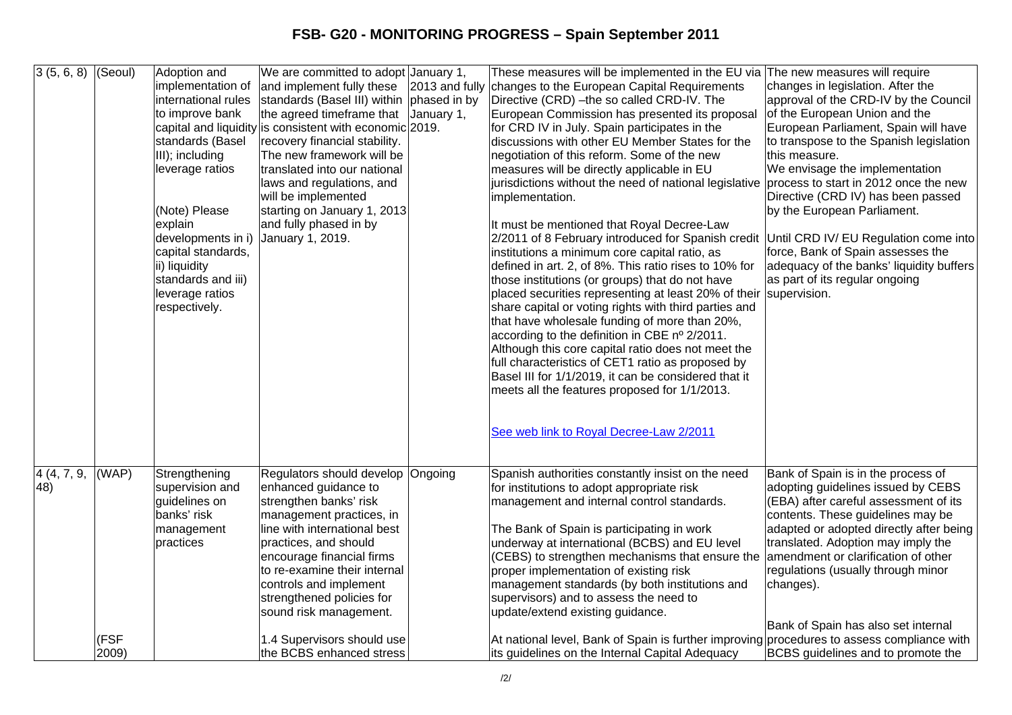| 3(5, 6, 8)         | (Seoul)       | Adoption and<br>implementation of<br>international rules<br>to improve bank<br>standards (Basel<br>III); including<br>leverage ratios<br>(Note) Please<br>explain<br>developments in i)<br>capital standards,<br>ii) liquidity<br>standards and iii)<br>leverage ratios<br>respectively. | We are committed to adopt January 1,<br>and implement fully these<br>standards (Basel III) within phased in by<br>the agreed timeframe that<br>capital and liquidity is consistent with economic 2019.<br>recovery financial stability.<br>The new framework will be<br>translated into our national<br>laws and regulations, and<br>will be implemented<br>starting on January 1, 2013<br>and fully phased in by<br>January 1, 2019. | January 1, | These measures will be implemented in the EU via The new measures will require<br>2013 and fully changes to the European Capital Requirements<br>Directive (CRD) - the so called CRD-IV. The<br>European Commission has presented its proposal<br>for CRD IV in July. Spain participates in the<br>discussions with other EU Member States for the<br>negotiation of this reform. Some of the new<br>measures will be directly applicable in EU<br>jurisdictions without the need of national legislative<br>implementation.<br>It must be mentioned that Royal Decree-Law<br>2/2011 of 8 February introduced for Spanish credit<br>institutions a minimum core capital ratio, as<br>defined in art. 2, of 8%. This ratio rises to 10% for<br>those institutions (or groups) that do not have<br>placed securities representing at least 20% of their<br>share capital or voting rights with third parties and<br>that have wholesale funding of more than 20%, | changes in legislation. After the<br>approval of the CRD-IV by the Council<br>of the European Union and the<br>European Parliament, Spain will have<br>to transpose to the Spanish legislation<br>this measure.<br>We envisage the implementation<br>process to start in 2012 once the new<br>Directive (CRD IV) has been passed<br>by the European Parliament.<br>Until CRD IV/ EU Regulation come into<br>force, Bank of Spain assesses the<br>adequacy of the banks' liquidity buffers<br>as part of its regular ongoing<br>supervision. |
|--------------------|---------------|------------------------------------------------------------------------------------------------------------------------------------------------------------------------------------------------------------------------------------------------------------------------------------------|---------------------------------------------------------------------------------------------------------------------------------------------------------------------------------------------------------------------------------------------------------------------------------------------------------------------------------------------------------------------------------------------------------------------------------------|------------|-----------------------------------------------------------------------------------------------------------------------------------------------------------------------------------------------------------------------------------------------------------------------------------------------------------------------------------------------------------------------------------------------------------------------------------------------------------------------------------------------------------------------------------------------------------------------------------------------------------------------------------------------------------------------------------------------------------------------------------------------------------------------------------------------------------------------------------------------------------------------------------------------------------------------------------------------------------------|---------------------------------------------------------------------------------------------------------------------------------------------------------------------------------------------------------------------------------------------------------------------------------------------------------------------------------------------------------------------------------------------------------------------------------------------------------------------------------------------------------------------------------------------|
|                    |               |                                                                                                                                                                                                                                                                                          |                                                                                                                                                                                                                                                                                                                                                                                                                                       |            | according to the definition in CBE nº 2/2011.<br>Although this core capital ratio does not meet the<br>full characteristics of CET1 ratio as proposed by<br>Basel III for 1/1/2019, it can be considered that it<br>meets all the features proposed for 1/1/2013.<br>See web link to Royal Decree-Law 2/2011                                                                                                                                                                                                                                                                                                                                                                                                                                                                                                                                                                                                                                                    |                                                                                                                                                                                                                                                                                                                                                                                                                                                                                                                                             |
| 4 (4, 7, 9,<br>48) | (WAP)         | Strengthening<br>supervision and<br>guidelines on<br>banks' risk<br>management<br>practices                                                                                                                                                                                              | Regulators should develop Ongoing<br>enhanced guidance to<br>strengthen banks' risk<br>management practices, in<br>line with international best<br>practices, and should<br>encourage financial firms<br>to re-examine their internal<br>controls and implement<br>strengthened policies for<br>sound risk management.                                                                                                                |            | Spanish authorities constantly insist on the need<br>for institutions to adopt appropriate risk<br>management and internal control standards.<br>The Bank of Spain is participating in work<br>underway at international (BCBS) and EU level<br>(CEBS) to strengthen mechanisms that ensure the<br>proper implementation of existing risk<br>management standards (by both institutions and<br>supervisors) and to assess the need to<br>update/extend existing guidance.                                                                                                                                                                                                                                                                                                                                                                                                                                                                                       | Bank of Spain is in the process of<br>adopting guidelines issued by CEBS<br>(EBA) after careful assessment of its<br>contents. These guidelines may be<br>adapted or adopted directly after being<br>translated. Adoption may imply the<br>amendment or clarification of other<br>regulations (usually through minor<br>changes).<br>Bank of Spain has also set internal                                                                                                                                                                    |
|                    | (FSF<br>2009) |                                                                                                                                                                                                                                                                                          | 1.4 Supervisors should use<br>the BCBS enhanced stress                                                                                                                                                                                                                                                                                                                                                                                |            | At national level, Bank of Spain is further improving procedures to assess compliance with<br>its guidelines on the Internal Capital Adequacy                                                                                                                                                                                                                                                                                                                                                                                                                                                                                                                                                                                                                                                                                                                                                                                                                   | BCBS guidelines and to promote the                                                                                                                                                                                                                                                                                                                                                                                                                                                                                                          |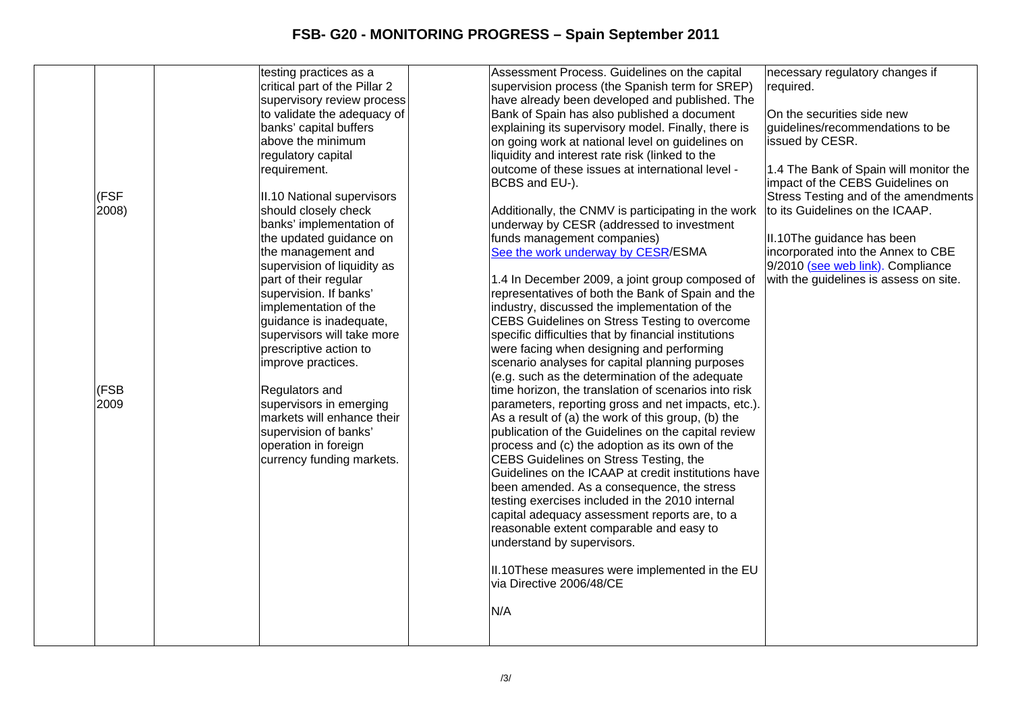|       | testing practices as a        | Assessment Process. Guidelines on the capital        | necessary regulatory changes if        |
|-------|-------------------------------|------------------------------------------------------|----------------------------------------|
|       | critical part of the Pillar 2 | supervision process (the Spanish term for SREP)      | required.                              |
|       | supervisory review process    | have already been developed and published. The       |                                        |
|       | to validate the adequacy of   | Bank of Spain has also published a document          | On the securities side new             |
|       | banks' capital buffers        | explaining its supervisory model. Finally, there is  | guidelines/recommendations to be       |
|       | above the minimum             | on going work at national level on guidelines on     | issued by CESR.                        |
|       | regulatory capital            | liquidity and interest rate risk (linked to the      |                                        |
|       | requirement.                  | outcome of these issues at international level -     | 1.4 The Bank of Spain will monitor the |
|       |                               | BCBS and EU-).                                       | impact of the CEBS Guidelines on       |
| (FSF  | II.10 National supervisors    |                                                      | Stress Testing and of the amendments   |
| 2008) | should closely check          | Additionally, the CNMV is participating in the work  | to its Guidelines on the ICAAP.        |
|       | banks' implementation of      | underway by CESR (addressed to investment            |                                        |
|       | the updated guidance on       | funds management companies)                          | II.10The guidance has been             |
|       | the management and            | See the work underway by CESR/ESMA                   | incorporated into the Annex to CBE     |
|       | supervision of liquidity as   |                                                      | 9/2010 (see web link). Compliance      |
|       | part of their regular         | 1.4 In December 2009, a joint group composed of      | with the guidelines is assess on site. |
|       | supervision. If banks'        | representatives of both the Bank of Spain and the    |                                        |
|       | implementation of the         | industry, discussed the implementation of the        |                                        |
|       | guidance is inadequate,       | CEBS Guidelines on Stress Testing to overcome        |                                        |
|       | supervisors will take more    | specific difficulties that by financial institutions |                                        |
|       | prescriptive action to        | were facing when designing and performing            |                                        |
|       | improve practices.            | scenario analyses for capital planning purposes      |                                        |
|       |                               | (e.g. such as the determination of the adequate      |                                        |
| (FSB  | Regulators and                | time horizon, the translation of scenarios into risk |                                        |
| 2009  | supervisors in emerging       | parameters, reporting gross and net impacts, etc.).  |                                        |
|       | markets will enhance their    | As a result of (a) the work of this group, (b) the   |                                        |
|       | supervision of banks'         | publication of the Guidelines on the capital review  |                                        |
|       | operation in foreign          | process and (c) the adoption as its own of the       |                                        |
|       | currency funding markets.     | CEBS Guidelines on Stress Testing, the               |                                        |
|       |                               | Guidelines on the ICAAP at credit institutions have  |                                        |
|       |                               | been amended. As a consequence, the stress           |                                        |
|       |                               | testing exercises included in the 2010 internal      |                                        |
|       |                               | capital adequacy assessment reports are, to a        |                                        |
|       |                               | reasonable extent comparable and easy to             |                                        |
|       |                               | understand by supervisors.                           |                                        |
|       |                               |                                                      |                                        |
|       |                               | II.10These measures were implemented in the EU       |                                        |
|       |                               | via Directive 2006/48/CE                             |                                        |
|       |                               |                                                      |                                        |
|       |                               | N/A                                                  |                                        |
|       |                               |                                                      |                                        |
|       |                               |                                                      |                                        |
|       |                               |                                                      |                                        |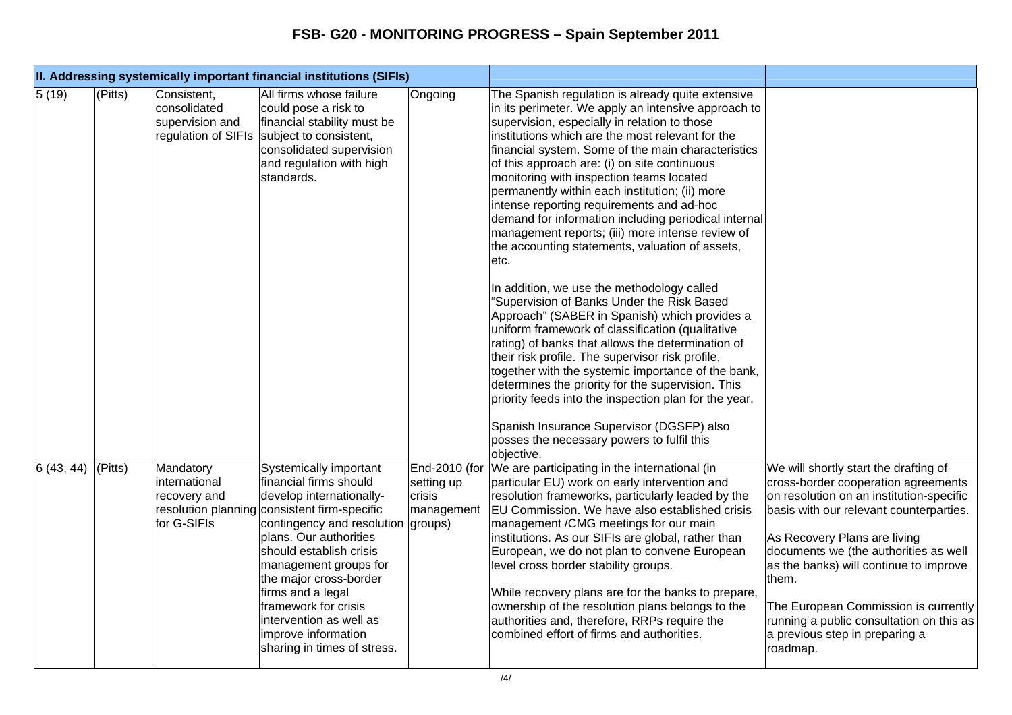|                 |         |                                                           | II. Addressing systemically important financial institutions (SIFIs)                                                                                                                                                                                                                                                                                                                             |                                                                |                                                                                                                                                                                                                                                                                                                                                                                                                                                                                                                                                                                                                                                                                                                                                                                                                                                                                                                                                                                                                                                                                                                                                                                                                             |                                                                                                                                                                                                                                                                                                                                                                                                                                   |
|-----------------|---------|-----------------------------------------------------------|--------------------------------------------------------------------------------------------------------------------------------------------------------------------------------------------------------------------------------------------------------------------------------------------------------------------------------------------------------------------------------------------------|----------------------------------------------------------------|-----------------------------------------------------------------------------------------------------------------------------------------------------------------------------------------------------------------------------------------------------------------------------------------------------------------------------------------------------------------------------------------------------------------------------------------------------------------------------------------------------------------------------------------------------------------------------------------------------------------------------------------------------------------------------------------------------------------------------------------------------------------------------------------------------------------------------------------------------------------------------------------------------------------------------------------------------------------------------------------------------------------------------------------------------------------------------------------------------------------------------------------------------------------------------------------------------------------------------|-----------------------------------------------------------------------------------------------------------------------------------------------------------------------------------------------------------------------------------------------------------------------------------------------------------------------------------------------------------------------------------------------------------------------------------|
| $\sqrt{5}$ (19) | (Pitts) | Consistent,<br>consolidated<br>supervision and            | All firms whose failure<br>could pose a risk to<br>financial stability must be<br>regulation of SIFIs subject to consistent,<br>consolidated supervision<br>and regulation with high<br>standards.                                                                                                                                                                                               | Ongoing                                                        | The Spanish regulation is already quite extensive<br>in its perimeter. We apply an intensive approach to<br>supervision, especially in relation to those<br>institutions which are the most relevant for the<br>financial system. Some of the main characteristics<br>of this approach are: (i) on site continuous<br>monitoring with inspection teams located<br>permanently within each institution; (ii) more<br>intense reporting requirements and ad-hoc<br>demand for information including periodical internal<br>management reports; (iii) more intense review of<br>the accounting statements, valuation of assets,<br>etc.<br>In addition, we use the methodology called<br>"Supervision of Banks Under the Risk Based<br>Approach" (SABER in Spanish) which provides a<br>uniform framework of classification (qualitative<br>rating) of banks that allows the determination of<br>their risk profile. The supervisor risk profile,<br>together with the systemic importance of the bank,<br>determines the priority for the supervision. This<br>priority feeds into the inspection plan for the year.<br>Spanish Insurance Supervisor (DGSFP) also<br>posses the necessary powers to fulfil this<br>objective. |                                                                                                                                                                                                                                                                                                                                                                                                                                   |
| 6(43, 44)       | (Pitts) | Mandatory<br>international<br>recovery and<br>for G-SIFIs | Systemically important<br>financial firms should<br>develop internationally-<br>resolution planning consistent firm-specific<br>contingency and resolution<br>plans. Our authorities<br>should establish crisis<br>management groups for<br>the major cross-border<br>firms and a legal<br>framework for crisis<br>intervention as well as<br>improve information<br>sharing in times of stress. | End-2010 (for<br>setting up<br>crisis<br>management<br>groups) | We are participating in the international (in<br>particular EU) work on early intervention and<br>resolution frameworks, particularly leaded by the<br>EU Commission. We have also established crisis<br>management / CMG meetings for our main<br>institutions. As our SIFIs are global, rather than<br>European, we do not plan to convene European<br>level cross border stability groups.<br>While recovery plans are for the banks to prepare,<br>ownership of the resolution plans belongs to the<br>authorities and, therefore, RRPs require the<br>combined effort of firms and authorities.                                                                                                                                                                                                                                                                                                                                                                                                                                                                                                                                                                                                                        | We will shortly start the drafting of<br>cross-border cooperation agreements<br>on resolution on an institution-specific<br>basis with our relevant counterparties.<br>As Recovery Plans are living<br>documents we (the authorities as well<br>as the banks) will continue to improve<br>them.<br>The European Commission is currently<br>running a public consultation on this as<br>a previous step in preparing a<br>roadmap. |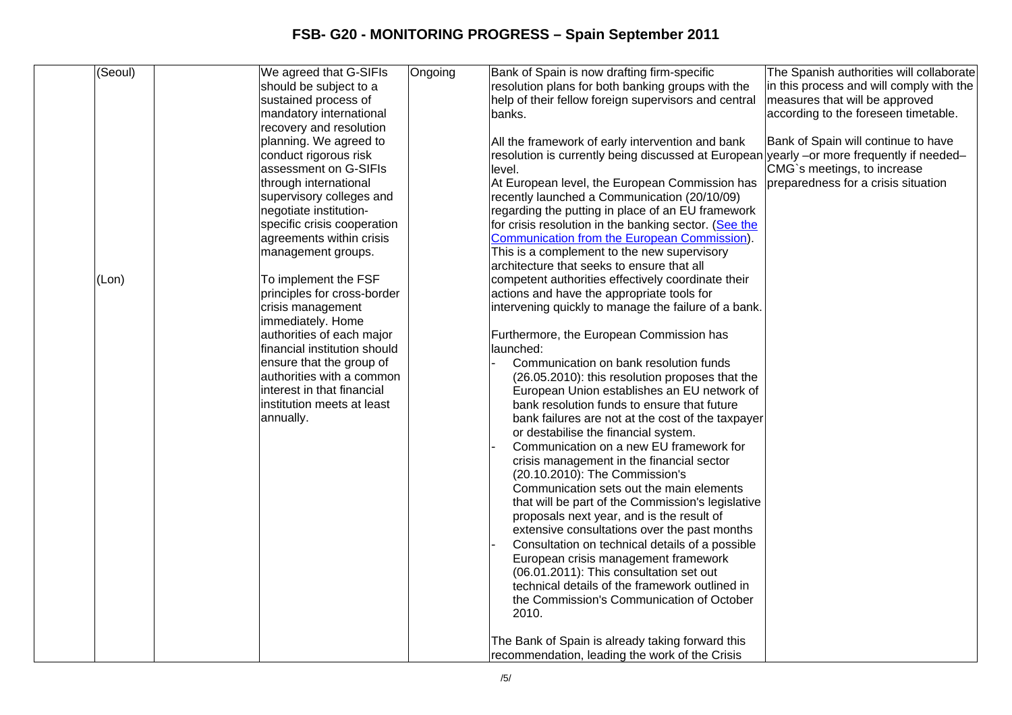| (Seoul) | We agreed that G-SIFIs       | Ongoing | Bank of Spain is now drafting firm-specific                                               | The Spanish authorities will collaborate |
|---------|------------------------------|---------|-------------------------------------------------------------------------------------------|------------------------------------------|
|         | should be subject to a       |         | resolution plans for both banking groups with the                                         | in this process and will comply with the |
|         | sustained process of         |         | help of their fellow foreign supervisors and central                                      | measures that will be approved           |
|         | mandatory international      |         | banks.                                                                                    | according to the foreseen timetable.     |
|         | recovery and resolution      |         |                                                                                           |                                          |
|         | planning. We agreed to       |         | All the framework of early intervention and bank                                          | Bank of Spain will continue to have      |
|         | conduct rigorous risk        |         | resolution is currently being discussed at European yearly -or more frequently if needed- |                                          |
|         | assessment on G-SIFIs        |         | level.                                                                                    | CMG`s meetings, to increase              |
|         | through international        |         | At European level, the European Commission has                                            | preparedness for a crisis situation      |
|         | supervisory colleges and     |         | recently launched a Communication (20/10/09)                                              |                                          |
|         | negotiate institution-       |         | regarding the putting in place of an EU framework                                         |                                          |
|         | specific crisis cooperation  |         | for crisis resolution in the banking sector. (See the                                     |                                          |
|         | agreements within crisis     |         | Communication from the European Commission).                                              |                                          |
|         | management groups.           |         | This is a complement to the new supervisory                                               |                                          |
|         |                              |         | architecture that seeks to ensure that all                                                |                                          |
| (Lon)   | To implement the FSF         |         | competent authorities effectively coordinate their                                        |                                          |
|         | principles for cross-border  |         | actions and have the appropriate tools for                                                |                                          |
|         | crisis management            |         | intervening quickly to manage the failure of a bank.                                      |                                          |
|         | immediately. Home            |         |                                                                                           |                                          |
|         | authorities of each major    |         | Furthermore, the European Commission has                                                  |                                          |
|         | financial institution should |         | launched:                                                                                 |                                          |
|         | ensure that the group of     |         | Communication on bank resolution funds                                                    |                                          |
|         | authorities with a common    |         | (26.05.2010): this resolution proposes that the                                           |                                          |
|         | interest in that financial   |         | European Union establishes an EU network of                                               |                                          |
|         | institution meets at least   |         | bank resolution funds to ensure that future                                               |                                          |
|         | annually.                    |         | bank failures are not at the cost of the taxpayer                                         |                                          |
|         |                              |         | or destabilise the financial system.                                                      |                                          |
|         |                              |         | Communication on a new EU framework for                                                   |                                          |
|         |                              |         | crisis management in the financial sector                                                 |                                          |
|         |                              |         | (20.10.2010): The Commission's                                                            |                                          |
|         |                              |         | Communication sets out the main elements                                                  |                                          |
|         |                              |         | that will be part of the Commission's legislative                                         |                                          |
|         |                              |         | proposals next year, and is the result of                                                 |                                          |
|         |                              |         | extensive consultations over the past months                                              |                                          |
|         |                              |         | Consultation on technical details of a possible                                           |                                          |
|         |                              |         | European crisis management framework                                                      |                                          |
|         |                              |         | (06.01.2011): This consultation set out                                                   |                                          |
|         |                              |         | technical details of the framework outlined in                                            |                                          |
|         |                              |         | the Commission's Communication of October                                                 |                                          |
|         |                              |         | 2010.                                                                                     |                                          |
|         |                              |         |                                                                                           |                                          |
|         |                              |         | The Bank of Spain is already taking forward this                                          |                                          |
|         |                              |         | recommendation, leading the work of the Crisis                                            |                                          |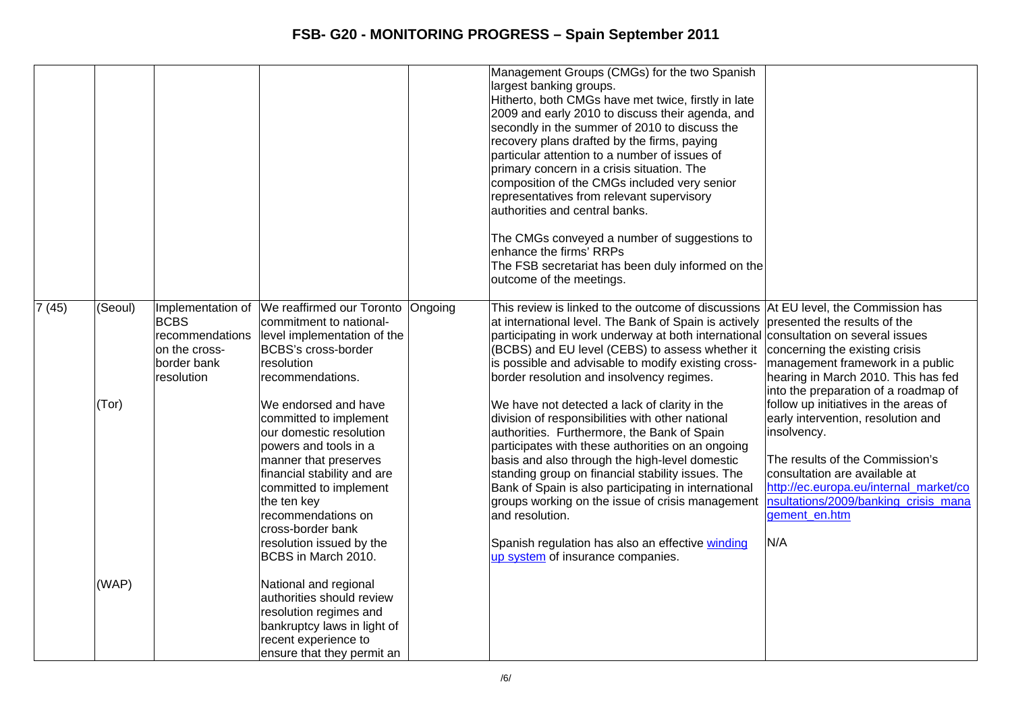|                 |                  |                                                                              |                                                                                                                                                                                                                                                                           |         | Management Groups (CMGs) for the two Spanish<br>largest banking groups.<br>Hitherto, both CMGs have met twice, firstly in late<br>2009 and early 2010 to discuss their agenda, and<br>secondly in the summer of 2010 to discuss the<br>recovery plans drafted by the firms, paying<br>particular attention to a number of issues of<br>primary concern in a crisis situation. The<br>composition of the CMGs included very senior<br>representatives from relevant supervisory<br>authorities and central banks.<br>The CMGs conveyed a number of suggestions to<br>enhance the firms' RRPs<br>The FSB secretariat has been duly informed on the<br>outcome of the meetings. |                                                                                                                                                                                                                                 |
|-----------------|------------------|------------------------------------------------------------------------------|---------------------------------------------------------------------------------------------------------------------------------------------------------------------------------------------------------------------------------------------------------------------------|---------|------------------------------------------------------------------------------------------------------------------------------------------------------------------------------------------------------------------------------------------------------------------------------------------------------------------------------------------------------------------------------------------------------------------------------------------------------------------------------------------------------------------------------------------------------------------------------------------------------------------------------------------------------------------------------|---------------------------------------------------------------------------------------------------------------------------------------------------------------------------------------------------------------------------------|
| $\sqrt{7}$ (45) | (Seoul)<br>(Tor) | <b>BCBS</b><br>recommendations<br>on the cross-<br>border bank<br>resolution | Implementation of We reaffirmed our Toronto<br>commitment to national-<br>level implementation of the<br><b>BCBS's cross-border</b><br>resolution<br>recommendations.<br>We endorsed and have                                                                             | Ongoing | This review is linked to the outcome of discussions   At EU level, the Commission has<br>at international level. The Bank of Spain is actively presented the results of the<br>participating in work underway at both international consultation on several issues<br>(BCBS) and EU level (CEBS) to assess whether it<br>is possible and advisable to modify existing cross-<br>border resolution and insolvency regimes.<br>We have not detected a lack of clarity in the                                                                                                                                                                                                   | concerning the existing crisis<br>management framework in a public<br>hearing in March 2010. This has fed<br>into the preparation of a roadmap of<br>follow up initiatives in the areas of                                      |
|                 |                  |                                                                              | committed to implement<br>our domestic resolution<br>powers and tools in a<br>manner that preserves<br>financial stability and are<br>committed to implement<br>the ten key<br>recommendations on<br>cross-border bank<br>resolution issued by the<br>BCBS in March 2010. |         | division of responsibilities with other national<br>authorities. Furthermore, the Bank of Spain<br>participates with these authorities on an ongoing<br>basis and also through the high-level domestic<br>standing group on financial stability issues. The<br>Bank of Spain is also participating in international<br>groups working on the issue of crisis management<br>land resolution.<br>Spanish regulation has also an effective winding<br>up system of insurance companies.                                                                                                                                                                                         | early intervention, resolution and<br>insolvency.<br>The results of the Commission's<br>consultation are available at<br>http://ec.europa.eu/internal_market/co<br>nsultations/2009/banking_crisis_mana<br>gement en.htm<br>N/A |
|                 | (WAP)            |                                                                              | National and regional<br>authorities should review<br>resolution regimes and<br>bankruptcy laws in light of<br>recent experience to<br>ensure that they permit an                                                                                                         |         |                                                                                                                                                                                                                                                                                                                                                                                                                                                                                                                                                                                                                                                                              |                                                                                                                                                                                                                                 |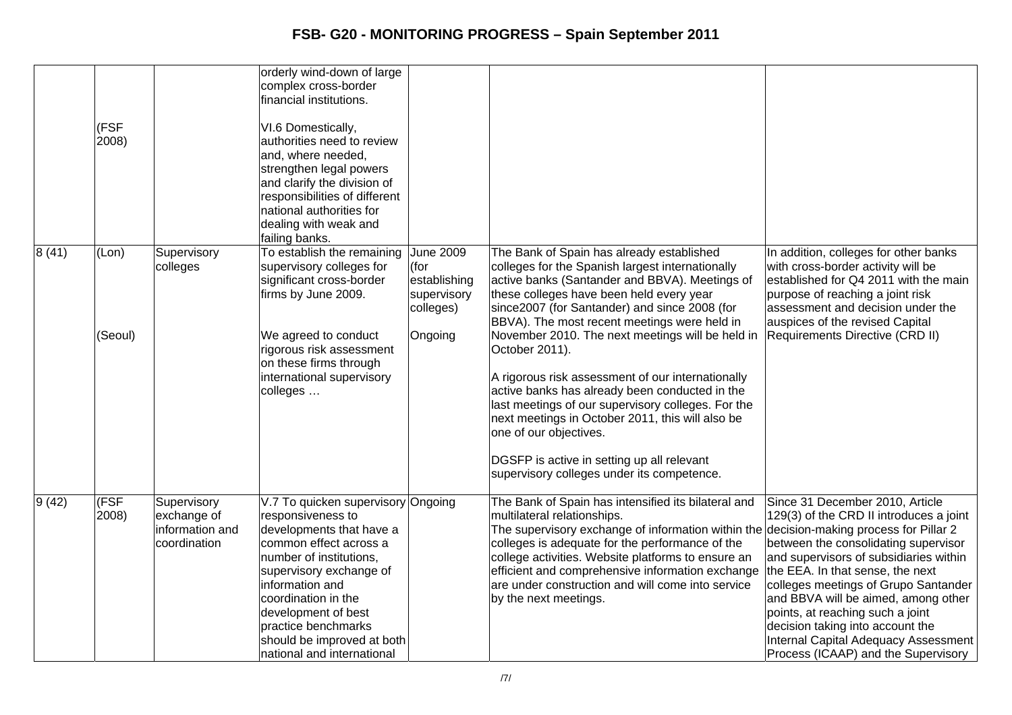|       | (FSF<br>2008)    |                                                               | orderly wind-down of large<br>complex cross-border<br>financial institutions.<br>VI.6 Domestically,<br>authorities need to review<br>and, where needed,<br>strengthen legal powers<br>and clarify the division of<br>responsibilities of different<br>national authorities for<br>dealing with weak and<br>failing banks. |                                                                                 |                                                                                                                                                                                                                                                                                                                                                                                                                                                                                                                                                                                                                                                                                                           |                                                                                                                                                                                                                                                                                                                                                                                                                                        |
|-------|------------------|---------------------------------------------------------------|---------------------------------------------------------------------------------------------------------------------------------------------------------------------------------------------------------------------------------------------------------------------------------------------------------------------------|---------------------------------------------------------------------------------|-----------------------------------------------------------------------------------------------------------------------------------------------------------------------------------------------------------------------------------------------------------------------------------------------------------------------------------------------------------------------------------------------------------------------------------------------------------------------------------------------------------------------------------------------------------------------------------------------------------------------------------------------------------------------------------------------------------|----------------------------------------------------------------------------------------------------------------------------------------------------------------------------------------------------------------------------------------------------------------------------------------------------------------------------------------------------------------------------------------------------------------------------------------|
| 8(41) | (Lon)<br>(Seoul) | Supervisory<br>colleges                                       | To establish the remaining<br>supervisory colleges for<br>significant cross-border<br>firms by June 2009.<br>We agreed to conduct<br>rigorous risk assessment<br>on these firms through<br>international supervisory<br>colleges                                                                                          | <b>June 2009</b><br>(for<br>establishing<br>supervisory<br>colleges)<br>Ongoing | The Bank of Spain has already established<br>colleges for the Spanish largest internationally<br>active banks (Santander and BBVA). Meetings of<br>these colleges have been held every year<br>since2007 (for Santander) and since 2008 (for<br>BBVA). The most recent meetings were held in<br>November 2010. The next meetings will be held in<br>October 2011).<br>A rigorous risk assessment of our internationally<br>active banks has already been conducted in the<br>last meetings of our supervisory colleges. For the<br>next meetings in October 2011, this will also be<br>one of our objectives.<br>DGSFP is active in setting up all relevant<br>supervisory colleges under its competence. | In addition, colleges for other banks<br>with cross-border activity will be<br>established for Q4 2011 with the main<br>purpose of reaching a joint risk<br>assessment and decision under the<br>auspices of the revised Capital<br>Requirements Directive (CRD II)                                                                                                                                                                    |
| 9(42) | (FSF)<br>2008)   | Supervisory<br>exchange of<br>information and<br>coordination | V.7 To quicken supervisory Ongoing<br>responsiveness to<br>developments that have a<br>common effect across a<br>number of institutions,<br>supervisory exchange of<br>linformation and<br>coordination in the<br>development of best<br>practice benchmarks<br>should be improved at both<br>national and international  |                                                                                 | The Bank of Spain has intensified its bilateral and<br>multilateral relationships.<br>The supervisory exchange of information within the decision-making process for Pillar 2<br>colleges is adequate for the performance of the<br>college activities. Website platforms to ensure an<br>efficient and comprehensive information exchange<br>are under construction and will come into service<br>by the next meetings.                                                                                                                                                                                                                                                                                  | Since 31 December 2010, Article<br>129(3) of the CRD II introduces a joint<br>between the consolidating supervisor<br>and supervisors of subsidiaries within<br>the EEA. In that sense, the next<br>colleges meetings of Grupo Santander<br>and BBVA will be aimed, among other<br>points, at reaching such a joint<br>decision taking into account the<br>Internal Capital Adequacy Assessment<br>Process (ICAAP) and the Supervisory |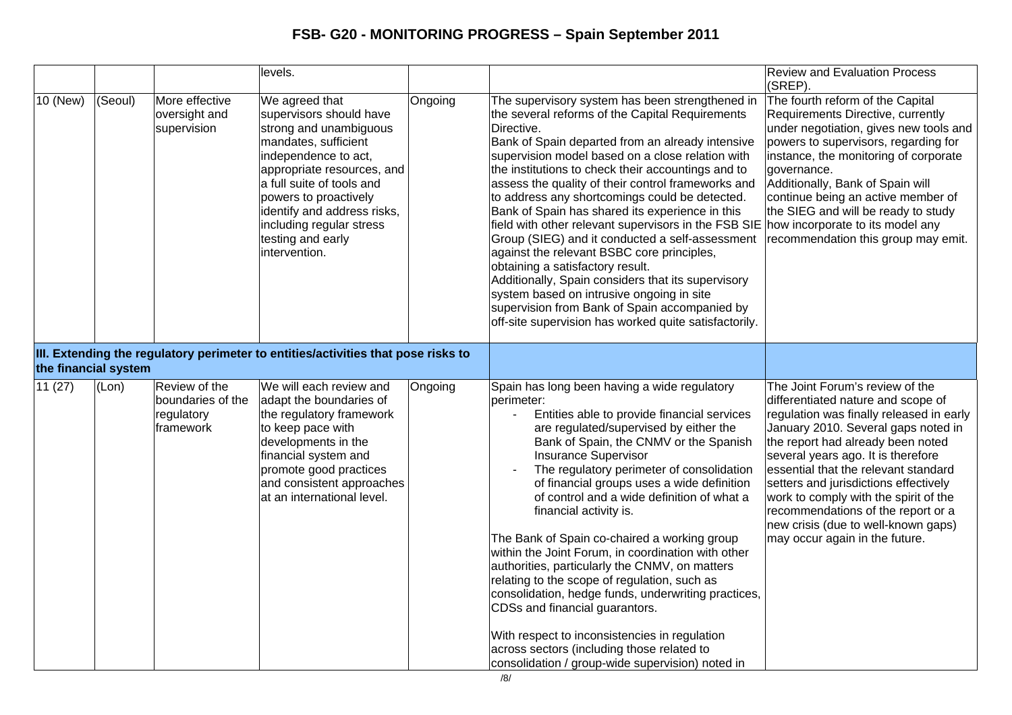|                      |         |                                                               | levels.                                                                                                                                                                                                                                                                                                  |         |                                                                                                                                                                                                                                                                                                                                                                                                                                                                                                                                                                                                                                                                                                                                                                                                                                                                                      | <b>Review and Evaluation Process</b><br>(SREP)                                                                                                                                                                                                                                                                                                                                                                                                                               |
|----------------------|---------|---------------------------------------------------------------|----------------------------------------------------------------------------------------------------------------------------------------------------------------------------------------------------------------------------------------------------------------------------------------------------------|---------|--------------------------------------------------------------------------------------------------------------------------------------------------------------------------------------------------------------------------------------------------------------------------------------------------------------------------------------------------------------------------------------------------------------------------------------------------------------------------------------------------------------------------------------------------------------------------------------------------------------------------------------------------------------------------------------------------------------------------------------------------------------------------------------------------------------------------------------------------------------------------------------|------------------------------------------------------------------------------------------------------------------------------------------------------------------------------------------------------------------------------------------------------------------------------------------------------------------------------------------------------------------------------------------------------------------------------------------------------------------------------|
| 10 (New)             | (Seoul) | More effective<br>oversight and<br>supervision                | We agreed that<br>supervisors should have<br>strong and unambiguous<br>mandates, sufficient<br>independence to act,<br>appropriate resources, and<br>a full suite of tools and<br>powers to proactively<br>identify and address risks,<br>including regular stress<br>testing and early<br>intervention. | Ongoing | The supervisory system has been strengthened in<br>the several reforms of the Capital Requirements<br>Directive.<br>Bank of Spain departed from an already intensive<br>supervision model based on a close relation with<br>the institutions to check their accountings and to<br>assess the quality of their control frameworks and<br>to address any shortcomings could be detected.<br>Bank of Spain has shared its experience in this<br>field with other relevant supervisors in the FSB SIE how incorporate to its model any<br>Group (SIEG) and it conducted a self-assessment<br>against the relevant BSBC core principles,<br>obtaining a satisfactory result.<br>Additionally, Spain considers that its supervisory<br>system based on intrusive ongoing in site<br>supervision from Bank of Spain accompanied by<br>off-site supervision has worked quite satisfactorily. | The fourth reform of the Capital<br>Requirements Directive, currently<br>under negotiation, gives new tools and<br>powers to supervisors, regarding for<br>instance, the monitoring of corporate<br>governance.<br>Additionally, Bank of Spain will<br>continue being an active member of<br>the SIEG and will be ready to study<br>recommendation this group may emit.                                                                                                      |
| the financial system |         |                                                               | III. Extending the regulatory perimeter to entities/activities that pose risks to                                                                                                                                                                                                                        |         |                                                                                                                                                                                                                                                                                                                                                                                                                                                                                                                                                                                                                                                                                                                                                                                                                                                                                      |                                                                                                                                                                                                                                                                                                                                                                                                                                                                              |
| 11(27)               | (Lon)   | Review of the<br>boundaries of the<br>regulatory<br>framework | We will each review and<br>adapt the boundaries of<br>the regulatory framework<br>to keep pace with<br>developments in the<br>financial system and<br>promote good practices<br>and consistent approaches<br>at an international level.                                                                  | Ongoing | Spain has long been having a wide regulatory<br>perimeter:<br>Entities able to provide financial services<br>$\blacksquare$<br>are regulated/supervised by either the<br>Bank of Spain, the CNMV or the Spanish<br><b>Insurance Supervisor</b><br>The regulatory perimeter of consolidation<br>of financial groups uses a wide definition<br>of control and a wide definition of what a<br>financial activity is.<br>The Bank of Spain co-chaired a working group<br>within the Joint Forum, in coordination with other<br>authorities, particularly the CNMV, on matters<br>relating to the scope of regulation, such as<br>consolidation, hedge funds, underwriting practices,<br>CDSs and financial guarantors.<br>With respect to inconsistencies in regulation<br>across sectors (including those related to<br>consolidation / group-wide supervision) noted in                | The Joint Forum's review of the<br>differentiated nature and scope of<br>regulation was finally released in early<br>January 2010. Several gaps noted in<br>the report had already been noted<br>several years ago. It is therefore<br>essential that the relevant standard<br>setters and jurisdictions effectively<br>work to comply with the spirit of the<br>recommendations of the report or a<br>new crisis (due to well-known gaps)<br>may occur again in the future. |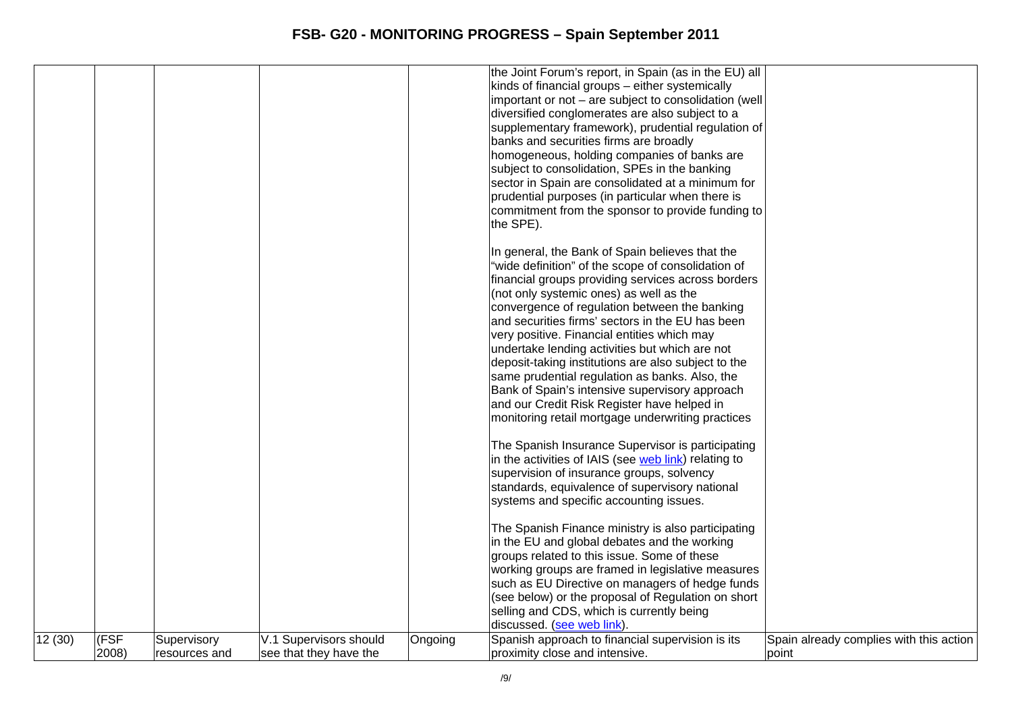|        |       |               |                        |         | the Joint Forum's report, in Spain (as in the EU) all<br>kinds of financial groups - either systemically |                                         |
|--------|-------|---------------|------------------------|---------|----------------------------------------------------------------------------------------------------------|-----------------------------------------|
|        |       |               |                        |         | important or not - are subject to consolidation (well                                                    |                                         |
|        |       |               |                        |         | diversified conglomerates are also subject to a                                                          |                                         |
|        |       |               |                        |         | supplementary framework), prudential regulation of                                                       |                                         |
|        |       |               |                        |         | banks and securities firms are broadly                                                                   |                                         |
|        |       |               |                        |         | homogeneous, holding companies of banks are                                                              |                                         |
|        |       |               |                        |         | subject to consolidation, SPEs in the banking                                                            |                                         |
|        |       |               |                        |         | sector in Spain are consolidated at a minimum for                                                        |                                         |
|        |       |               |                        |         | prudential purposes (in particular when there is                                                         |                                         |
|        |       |               |                        |         | commitment from the sponsor to provide funding to                                                        |                                         |
|        |       |               |                        |         | the SPE).                                                                                                |                                         |
|        |       |               |                        |         | In general, the Bank of Spain believes that the                                                          |                                         |
|        |       |               |                        |         | "wide definition" of the scope of consolidation of                                                       |                                         |
|        |       |               |                        |         | financial groups providing services across borders                                                       |                                         |
|        |       |               |                        |         | (not only systemic ones) as well as the                                                                  |                                         |
|        |       |               |                        |         | convergence of regulation between the banking                                                            |                                         |
|        |       |               |                        |         | and securities firms' sectors in the EU has been                                                         |                                         |
|        |       |               |                        |         | very positive. Financial entities which may<br>undertake lending activities but which are not            |                                         |
|        |       |               |                        |         | deposit-taking institutions are also subject to the                                                      |                                         |
|        |       |               |                        |         | same prudential regulation as banks. Also, the                                                           |                                         |
|        |       |               |                        |         | Bank of Spain's intensive supervisory approach                                                           |                                         |
|        |       |               |                        |         | and our Credit Risk Register have helped in                                                              |                                         |
|        |       |               |                        |         | monitoring retail mortgage underwriting practices                                                        |                                         |
|        |       |               |                        |         | The Spanish Insurance Supervisor is participating                                                        |                                         |
|        |       |               |                        |         | in the activities of IAIS (see web link) relating to                                                     |                                         |
|        |       |               |                        |         | supervision of insurance groups, solvency                                                                |                                         |
|        |       |               |                        |         | standards, equivalence of supervisory national                                                           |                                         |
|        |       |               |                        |         | systems and specific accounting issues.                                                                  |                                         |
|        |       |               |                        |         | The Spanish Finance ministry is also participating                                                       |                                         |
|        |       |               |                        |         | in the EU and global debates and the working                                                             |                                         |
|        |       |               |                        |         | groups related to this issue. Some of these                                                              |                                         |
|        |       |               |                        |         | working groups are framed in legislative measures                                                        |                                         |
|        |       |               |                        |         | such as EU Directive on managers of hedge funds                                                          |                                         |
|        |       |               |                        |         | (see below) or the proposal of Regulation on short<br>selling and CDS, which is currently being          |                                         |
|        |       |               |                        |         | discussed. (see web link).                                                                               |                                         |
| 12(30) | (FSF  | Supervisory   | V.1 Supervisors should | Ongoing | Spanish approach to financial supervision is its                                                         | Spain already complies with this action |
|        | 2008) | resources and | see that they have the |         | proximity close and intensive.                                                                           | point                                   |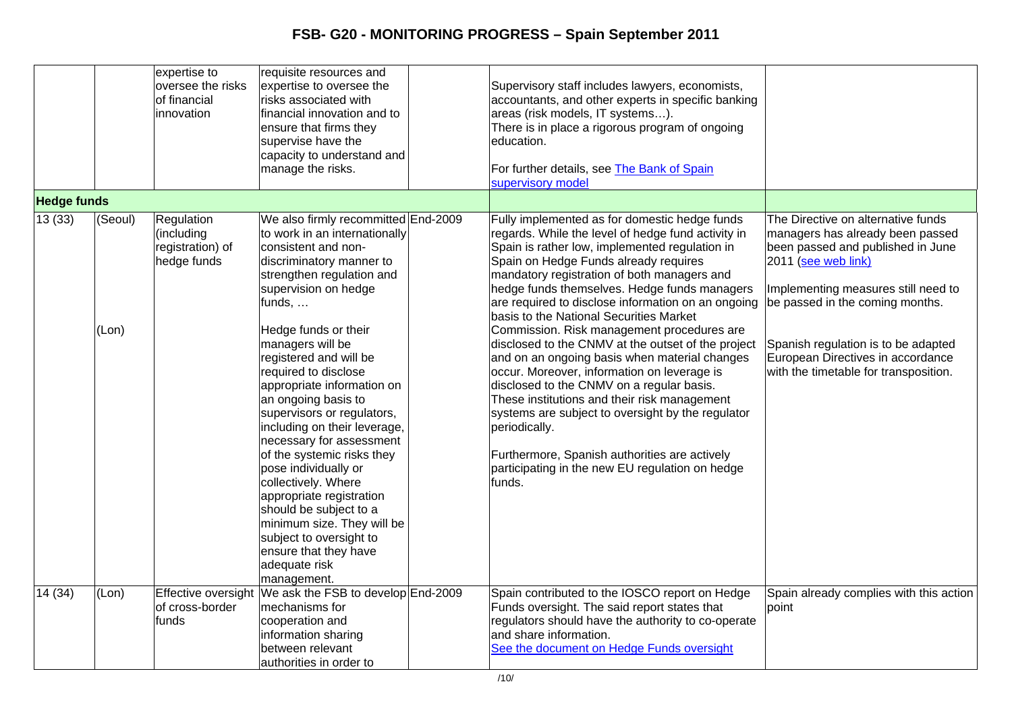|                    |                  | expertise to<br>oversee the risks<br>of financial<br>innovation | requisite resources and<br>expertise to oversee the<br>risks associated with<br>financial innovation and to<br>ensure that firms they<br>supervise have the<br>capacity to understand and<br>manage the risks.                                                                                                                                                                                                                                                                                                                                                         | Supervisory staff includes lawyers, economists,<br>accountants, and other experts in specific banking<br>areas (risk models, IT systems).<br>There is in place a rigorous program of ongoing<br>education.<br>For further details, see The Bank of Spain<br>supervisory model                                                                                                                                                                                                                                                                                                                                                                                                                                                                                                                                                                                                       |                                                                                                                                                                                                                                                                                                                                   |
|--------------------|------------------|-----------------------------------------------------------------|------------------------------------------------------------------------------------------------------------------------------------------------------------------------------------------------------------------------------------------------------------------------------------------------------------------------------------------------------------------------------------------------------------------------------------------------------------------------------------------------------------------------------------------------------------------------|-------------------------------------------------------------------------------------------------------------------------------------------------------------------------------------------------------------------------------------------------------------------------------------------------------------------------------------------------------------------------------------------------------------------------------------------------------------------------------------------------------------------------------------------------------------------------------------------------------------------------------------------------------------------------------------------------------------------------------------------------------------------------------------------------------------------------------------------------------------------------------------|-----------------------------------------------------------------------------------------------------------------------------------------------------------------------------------------------------------------------------------------------------------------------------------------------------------------------------------|
| <b>Hedge funds</b> |                  |                                                                 |                                                                                                                                                                                                                                                                                                                                                                                                                                                                                                                                                                        |                                                                                                                                                                                                                                                                                                                                                                                                                                                                                                                                                                                                                                                                                                                                                                                                                                                                                     |                                                                                                                                                                                                                                                                                                                                   |
| 13(33)             | (Seoul)<br>(Lon) | Regulation<br>(including<br>registration) of<br>hedge funds     | We also firmly recommitted End-2009<br>to work in an internationally<br>consistent and non-<br>discriminatory manner to<br>strengthen regulation and<br>supervision on hedge<br>funds,<br>Hedge funds or their<br>managers will be<br>registered and will be<br>required to disclose<br>appropriate information on<br>an ongoing basis to<br>supervisors or regulators,<br>including on their leverage,<br>necessary for assessment<br>of the systemic risks they<br>pose individually or<br>collectively. Where<br>appropriate registration<br>should be subject to a | Fully implemented as for domestic hedge funds<br>regards. While the level of hedge fund activity in<br>Spain is rather low, implemented regulation in<br>Spain on Hedge Funds already requires<br>mandatory registration of both managers and<br>hedge funds themselves. Hedge funds managers<br>are required to disclose information on an ongoing<br>basis to the National Securities Market<br>Commission. Risk management procedures are<br>disclosed to the CNMV at the outset of the project<br>and on an ongoing basis when material changes<br>occur. Moreover, information on leverage is<br>disclosed to the CNMV on a regular basis.<br>These institutions and their risk management<br>systems are subject to oversight by the regulator<br>periodically.<br>Furthermore, Spanish authorities are actively<br>participating in the new EU regulation on hedge<br>funds. | The Directive on alternative funds<br>managers has already been passed<br>been passed and published in June<br>2011 (see web link)<br>Implementing measures still need to<br>be passed in the coming months.<br>Spanish regulation is to be adapted<br>European Directives in accordance<br>with the timetable for transposition. |
| 14(34)             | (Lon)            | <b>Effective oversight</b>                                      | minimum size. They will be<br>subject to oversight to<br>ensure that they have<br>adequate risk<br>management.<br>We ask the FSB to develop End-2009                                                                                                                                                                                                                                                                                                                                                                                                                   | Spain contributed to the IOSCO report on Hedge                                                                                                                                                                                                                                                                                                                                                                                                                                                                                                                                                                                                                                                                                                                                                                                                                                      | Spain already complies with this action                                                                                                                                                                                                                                                                                           |
|                    |                  | of cross-border<br>funds                                        | mechanisms for<br>cooperation and<br>information sharing<br>between relevant<br>authorities in order to                                                                                                                                                                                                                                                                                                                                                                                                                                                                | Funds oversight. The said report states that<br>regulators should have the authority to co-operate<br>and share information.<br>See the document on Hedge Funds oversight                                                                                                                                                                                                                                                                                                                                                                                                                                                                                                                                                                                                                                                                                                           | point                                                                                                                                                                                                                                                                                                                             |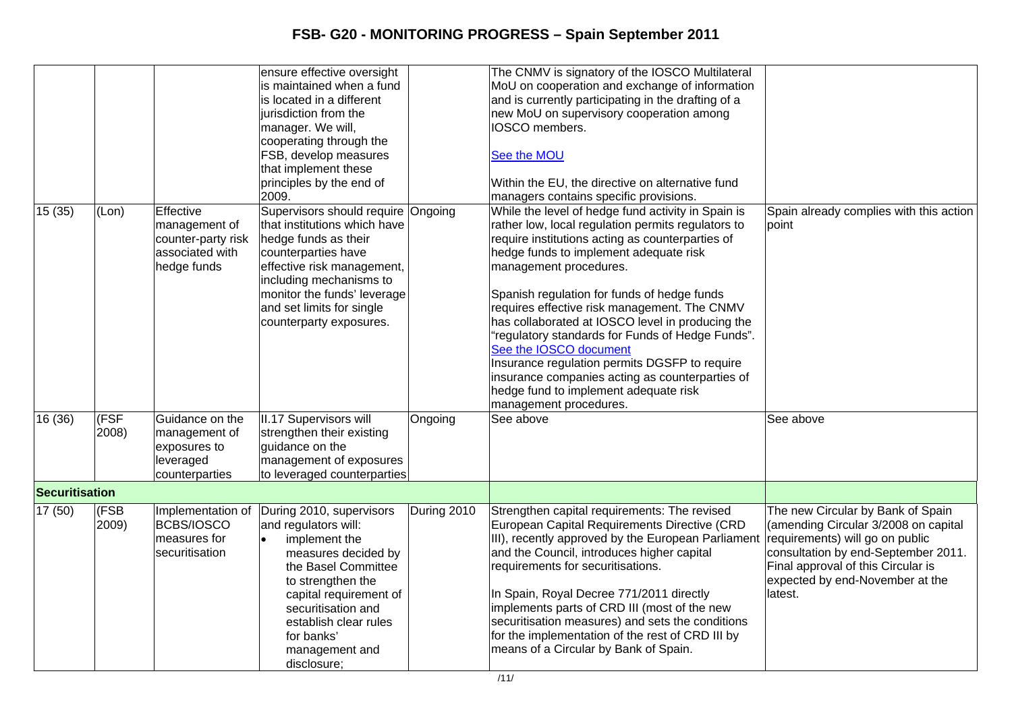|                       |       |                    | ensure effective oversight<br>is maintained when a fund |             | The CNMV is signatory of the IOSCO Multilateral<br>MoU on cooperation and exchange of information |                                         |
|-----------------------|-------|--------------------|---------------------------------------------------------|-------------|---------------------------------------------------------------------------------------------------|-----------------------------------------|
|                       |       |                    | is located in a different                               |             | and is currently participating in the drafting of a                                               |                                         |
|                       |       |                    | jurisdiction from the                                   |             | new MoU on supervisory cooperation among                                                          |                                         |
|                       |       |                    | manager. We will,                                       |             | <b>IOSCO</b> members.                                                                             |                                         |
|                       |       |                    | cooperating through the                                 |             |                                                                                                   |                                         |
|                       |       |                    | FSB, develop measures                                   |             | See the MOU                                                                                       |                                         |
|                       |       |                    | that implement these                                    |             |                                                                                                   |                                         |
|                       |       |                    | principles by the end of                                |             | Within the EU, the directive on alternative fund                                                  |                                         |
|                       |       |                    | 2009.                                                   |             | managers contains specific provisions.                                                            |                                         |
| 15 (35)               | (Lon) | Effective          | Supervisors should require Ongoing                      |             | While the level of hedge fund activity in Spain is                                                | Spain already complies with this action |
|                       |       | management of      | that institutions which have                            |             | rather low, local regulation permits regulators to                                                | point                                   |
|                       |       | counter-party risk | hedge funds as their                                    |             | require institutions acting as counterparties of                                                  |                                         |
|                       |       | associated with    | counterparties have                                     |             | hedge funds to implement adequate risk                                                            |                                         |
|                       |       | hedge funds        | effective risk management,                              |             | management procedures.                                                                            |                                         |
|                       |       |                    | including mechanisms to                                 |             |                                                                                                   |                                         |
|                       |       |                    | monitor the funds' leverage                             |             | Spanish regulation for funds of hedge funds                                                       |                                         |
|                       |       |                    | and set limits for single                               |             | requires effective risk management. The CNMV                                                      |                                         |
|                       |       |                    | counterparty exposures.                                 |             | has collaborated at IOSCO level in producing the                                                  |                                         |
|                       |       |                    |                                                         |             | "regulatory standards for Funds of Hedge Funds".                                                  |                                         |
|                       |       |                    |                                                         |             | See the IOSCO document                                                                            |                                         |
|                       |       |                    |                                                         |             | Insurance regulation permits DGSFP to require                                                     |                                         |
|                       |       |                    |                                                         |             | insurance companies acting as counterparties of                                                   |                                         |
|                       |       |                    |                                                         |             | hedge fund to implement adequate risk                                                             |                                         |
|                       |       |                    |                                                         |             | management procedures.                                                                            |                                         |
| 16 (36)               | (FSF  | Guidance on the    | II.17 Supervisors will                                  | Ongoing     | See above                                                                                         | See above                               |
|                       | 2008) | management of      | strengthen their existing                               |             |                                                                                                   |                                         |
|                       |       | exposures to       | guidance on the                                         |             |                                                                                                   |                                         |
|                       |       | leveraged          | management of exposures                                 |             |                                                                                                   |                                         |
|                       |       | counterparties     | to leveraged counterparties                             |             |                                                                                                   |                                         |
| <b>Securitisation</b> |       |                    |                                                         |             |                                                                                                   |                                         |
| 17 (50)               | (FSB  |                    | Implementation of During 2010, supervisors              | During 2010 | Strengthen capital requirements: The revised                                                      | The new Circular by Bank of Spain       |
|                       | 2009) | BCBS/IOSCO         | and regulators will:                                    |             | European Capital Requirements Directive (CRD                                                      | (amending Circular 3/2008 on capital    |
|                       |       | measures for       | implement the                                           |             | III), recently approved by the European Parliament                                                | requirements) will go on public         |
|                       |       | securitisation     | measures decided by                                     |             | and the Council, introduces higher capital                                                        | consultation by end-September 2011.     |
|                       |       |                    | the Basel Committee                                     |             | requirements for securitisations.                                                                 | Final approval of this Circular is      |
|                       |       |                    | to strengthen the                                       |             |                                                                                                   | expected by end-November at the         |
|                       |       |                    | capital requirement of                                  |             | In Spain, Royal Decree 771/2011 directly                                                          | latest.                                 |
|                       |       |                    | securitisation and                                      |             | implements parts of CRD III (most of the new                                                      |                                         |
|                       |       |                    | establish clear rules                                   |             | securitisation measures) and sets the conditions                                                  |                                         |
|                       |       |                    | for banks'                                              |             | for the implementation of the rest of CRD III by                                                  |                                         |
|                       |       |                    | management and                                          |             | means of a Circular by Bank of Spain.                                                             |                                         |
|                       |       |                    | disclosure;                                             |             |                                                                                                   |                                         |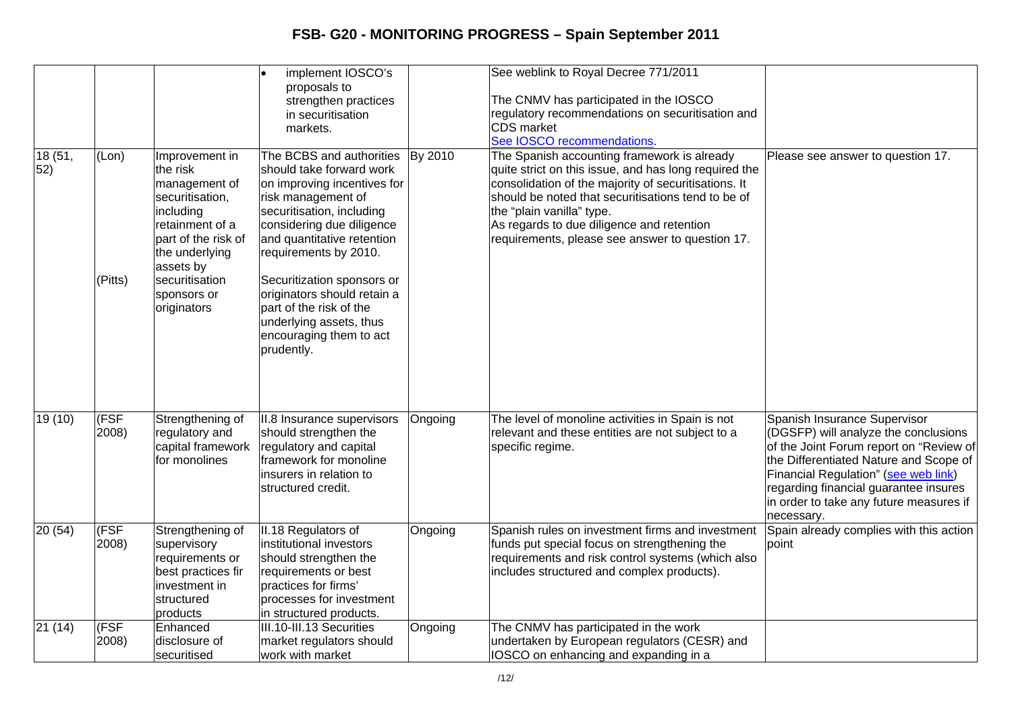|                |                  |                                                                                                                                                                                                      | implement IOSCO's<br>proposals to<br>strengthen practices<br>in securitisation<br>markets.                                                                                                                                                                                                                                                                                             |         | See weblink to Royal Decree 771/2011<br>The CNMV has participated in the IOSCO<br>regulatory recommendations on securitisation and<br><b>CDS</b> market<br>See IOSCO recommendations.                                                                                                                                                           |                                                                                                                                                                                                                                                                                                     |
|----------------|------------------|------------------------------------------------------------------------------------------------------------------------------------------------------------------------------------------------------|----------------------------------------------------------------------------------------------------------------------------------------------------------------------------------------------------------------------------------------------------------------------------------------------------------------------------------------------------------------------------------------|---------|-------------------------------------------------------------------------------------------------------------------------------------------------------------------------------------------------------------------------------------------------------------------------------------------------------------------------------------------------|-----------------------------------------------------------------------------------------------------------------------------------------------------------------------------------------------------------------------------------------------------------------------------------------------------|
| 18 (51,<br>52) | (Lon)<br>(Pitts) | Improvement in<br>the risk<br>management of<br>securitisation,<br>including<br>retainment of a<br>part of the risk of<br>the underlying<br>assets by<br>securitisation<br>sponsors or<br>originators | The BCBS and authorities<br>should take forward work<br>on improving incentives for<br>risk management of<br>securitisation, including<br>considering due diligence<br>and quantitative retention<br>requirements by 2010.<br>Securitization sponsors or<br>originators should retain a<br>part of the risk of the<br>underlying assets, thus<br>encouraging them to act<br>prudently. | By 2010 | The Spanish accounting framework is already<br>quite strict on this issue, and has long required the<br>consolidation of the majority of securitisations. It<br>should be noted that securitisations tend to be of<br>the "plain vanilla" type.<br>As regards to due diligence and retention<br>requirements, please see answer to question 17. | Please see answer to question 17.                                                                                                                                                                                                                                                                   |
| 19 (10)        | (FSF<br>2008)    | Strengthening of<br>regulatory and<br>capital framework<br>for monolines                                                                                                                             | II.8 Insurance supervisors<br>should strengthen the<br>regulatory and capital<br>framework for monoline<br>insurers in relation to<br>structured credit.                                                                                                                                                                                                                               | Ongoing | The level of monoline activities in Spain is not<br>relevant and these entities are not subject to a<br>specific regime.                                                                                                                                                                                                                        | Spanish Insurance Supervisor<br>(DGSFP) will analyze the conclusions<br>of the Joint Forum report on "Review of<br>the Differentiated Nature and Scope of<br>Financial Regulation" (see web link)<br>regarding financial guarantee insures<br>in order to take any future measures if<br>necessary. |
| 20(54)         | (FSF)<br>2008)   | Strengthening of<br>supervisory<br>requirements or<br>best practices fir<br>investment in<br>structured<br>products                                                                                  | II.18 Regulators of<br>institutional investors<br>should strengthen the<br>requirements or best<br>practices for firms'<br>processes for investment<br>in structured products.                                                                                                                                                                                                         | Ongoing | Spanish rules on investment firms and investment<br>funds put special focus on strengthening the<br>requirements and risk control systems (which also<br>includes structured and complex products).                                                                                                                                             | Spain already complies with this action<br>point                                                                                                                                                                                                                                                    |
| 21(14)         | (FSF<br>2008)    | Enhanced<br>disclosure of<br>securitised                                                                                                                                                             | III.10-III.13 Securities<br>market regulators should<br>work with market                                                                                                                                                                                                                                                                                                               | Ongoing | The CNMV has participated in the work<br>undertaken by European regulators (CESR) and<br>IOSCO on enhancing and expanding in a                                                                                                                                                                                                                  |                                                                                                                                                                                                                                                                                                     |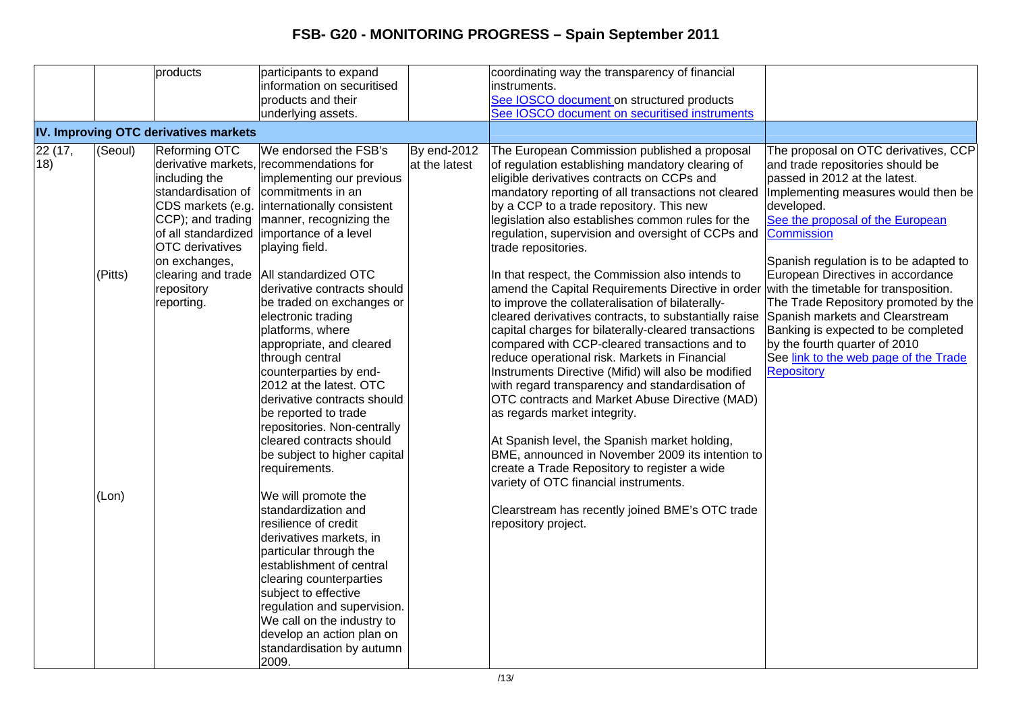|        |         | products                              | participants to expand                            |               | coordinating way the transparency of financial                                          |                                        |
|--------|---------|---------------------------------------|---------------------------------------------------|---------------|-----------------------------------------------------------------------------------------|----------------------------------------|
|        |         |                                       | information on securitised                        |               | instruments.                                                                            |                                        |
|        |         |                                       | products and their                                |               | See IOSCO document on structured products                                               |                                        |
|        |         |                                       | underlying assets.                                |               | See IOSCO document on securitised instruments                                           |                                        |
|        |         | IV. Improving OTC derivatives markets |                                                   |               |                                                                                         |                                        |
| 22(17, | (Seoul) | Reforming OTC                         | We endorsed the FSB's                             | By end-2012   | The European Commission published a proposal                                            | The proposal on OTC derivatives, CCP   |
| 18)    |         |                                       | derivative markets, recommendations for           | at the latest | of regulation establishing mandatory clearing of                                        | and trade repositories should be       |
|        |         | including the                         | implementing our previous                         |               | eligible derivatives contracts on CCPs and                                              | passed in 2012 at the latest.          |
|        |         | standardisation of                    | commitments in an                                 |               | mandatory reporting of all transactions not cleared                                     | Implementing measures would then be    |
|        |         |                                       | CDS markets (e.g.  internationally consistent     |               | by a CCP to a trade repository. This new                                                | developed.                             |
|        |         |                                       | $ CCP$ ); and trading $ $ manner, recognizing the |               | legislation also establishes common rules for the                                       | See the proposal of the European       |
|        |         |                                       | of all standardized importance of a level         |               | regulation, supervision and oversight of CCPs and                                       | Commission                             |
|        |         | OTC derivatives                       | playing field.                                    |               | trade repositories.                                                                     |                                        |
|        |         | on exchanges,                         |                                                   |               |                                                                                         | Spanish regulation is to be adapted to |
|        | (Pitts) |                                       | clearing and trade   All standardized OTC         |               | In that respect, the Commission also intends to                                         | European Directives in accordance      |
|        |         | repository                            | derivative contracts should                       |               | amend the Capital Requirements Directive in order with the timetable for transposition. |                                        |
|        |         | reporting.                            | be traded on exchanges or                         |               | to improve the collateralisation of bilaterally-                                        | The Trade Repository promoted by the   |
|        |         |                                       | electronic trading                                |               | cleared derivatives contracts, to substantially raise                                   | Spanish markets and Clearstream        |
|        |         |                                       | platforms, where                                  |               | capital charges for bilaterally-cleared transactions                                    | Banking is expected to be completed    |
|        |         |                                       | appropriate, and cleared                          |               | compared with CCP-cleared transactions and to                                           | by the fourth quarter of 2010          |
|        |         |                                       | through central                                   |               | reduce operational risk. Markets in Financial                                           | See link to the web page of the Trade  |
|        |         |                                       | counterparties by end-                            |               | Instruments Directive (Mifid) will also be modified                                     | <b>Repository</b>                      |
|        |         |                                       | 2012 at the latest. OTC                           |               | with regard transparency and standardisation of                                         |                                        |
|        |         |                                       | derivative contracts should                       |               | OTC contracts and Market Abuse Directive (MAD)                                          |                                        |
|        |         |                                       | be reported to trade                              |               | as regards market integrity.                                                            |                                        |
|        |         |                                       | repositories. Non-centrally                       |               |                                                                                         |                                        |
|        |         |                                       | cleared contracts should                          |               | At Spanish level, the Spanish market holding,                                           |                                        |
|        |         |                                       | be subject to higher capital                      |               | BME, announced in November 2009 its intention to                                        |                                        |
|        |         |                                       | requirements.                                     |               | create a Trade Repository to register a wide                                            |                                        |
|        |         |                                       |                                                   |               | variety of OTC financial instruments.                                                   |                                        |
|        | (Lon)   |                                       | We will promote the<br>standardization and        |               |                                                                                         |                                        |
|        |         |                                       | resilience of credit                              |               | Clearstream has recently joined BME's OTC trade<br>repository project.                  |                                        |
|        |         |                                       | derivatives markets, in                           |               |                                                                                         |                                        |
|        |         |                                       | particular through the                            |               |                                                                                         |                                        |
|        |         |                                       | establishment of central                          |               |                                                                                         |                                        |
|        |         |                                       | clearing counterparties                           |               |                                                                                         |                                        |
|        |         |                                       | subject to effective                              |               |                                                                                         |                                        |
|        |         |                                       | regulation and supervision.                       |               |                                                                                         |                                        |
|        |         |                                       | We call on the industry to                        |               |                                                                                         |                                        |
|        |         |                                       | develop an action plan on                         |               |                                                                                         |                                        |
|        |         |                                       | standardisation by autumn                         |               |                                                                                         |                                        |
|        |         |                                       | 2009.                                             |               |                                                                                         |                                        |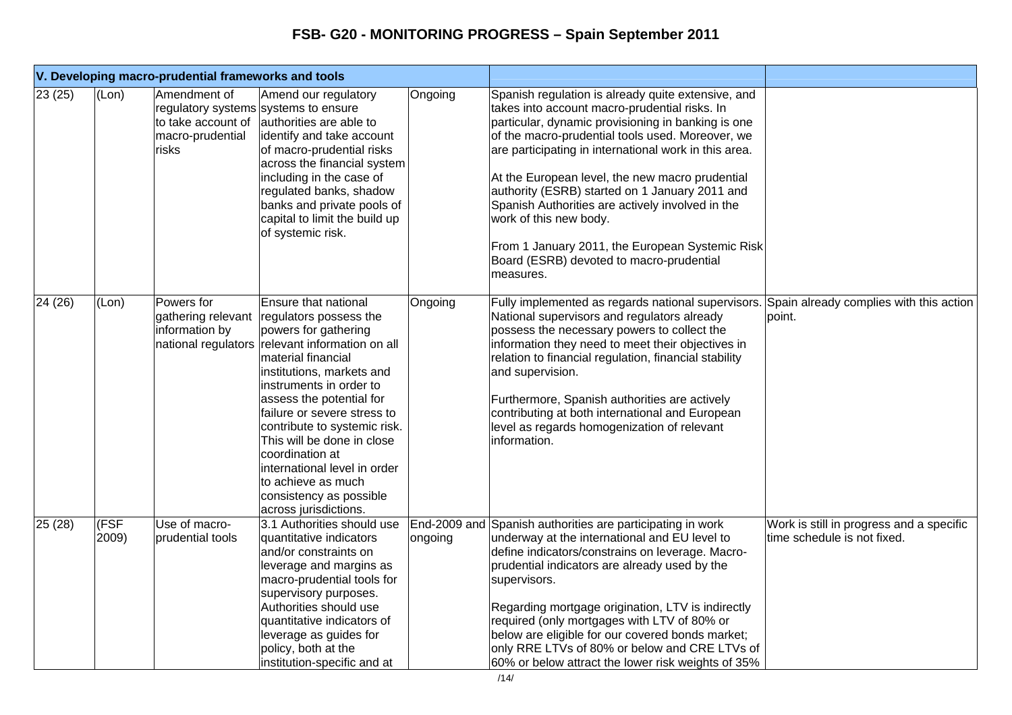|        |               | V. Developing macro-prudential frameworks and tools                                                     |                                                                                                                                                                                                                                                                                                                                                                                                                                                               |         |                                                                                                                                                                                                                                                                                                                                                                                                                                                                                                                                                                       |                                                                         |
|--------|---------------|---------------------------------------------------------------------------------------------------------|---------------------------------------------------------------------------------------------------------------------------------------------------------------------------------------------------------------------------------------------------------------------------------------------------------------------------------------------------------------------------------------------------------------------------------------------------------------|---------|-----------------------------------------------------------------------------------------------------------------------------------------------------------------------------------------------------------------------------------------------------------------------------------------------------------------------------------------------------------------------------------------------------------------------------------------------------------------------------------------------------------------------------------------------------------------------|-------------------------------------------------------------------------|
| 23(25) | (Lon)         | Amendment of<br>regulatory systems systems to ensure<br>to take account of<br>macro-prudential<br>risks | Amend our regulatory<br>authorities are able to<br>identify and take account<br>of macro-prudential risks<br>across the financial system<br>including in the case of<br>regulated banks, shadow<br>banks and private pools of<br>capital to limit the build up<br>of systemic risk.                                                                                                                                                                           | Ongoing | Spanish regulation is already quite extensive, and<br>takes into account macro-prudential risks. In<br>particular, dynamic provisioning in banking is one<br>of the macro-prudential tools used. Moreover, we<br>are participating in international work in this area.<br>At the European level, the new macro prudential<br>authority (ESRB) started on 1 January 2011 and<br>Spanish Authorities are actively involved in the<br>work of this new body.<br>From 1 January 2011, the European Systemic Risk<br>Board (ESRB) devoted to macro-prudential<br>measures. |                                                                         |
| 24(26) | (Lon)         | Powers for<br>gathering relevant<br>information by                                                      | Ensure that national<br>regulators possess the<br>powers for gathering<br>national regulators relevant information on all<br>material financial<br>institutions, markets and<br>instruments in order to<br>assess the potential for<br>failure or severe stress to<br>contribute to systemic risk.<br>This will be done in close<br>coordination at<br>international level in order<br>to achieve as much<br>consistency as possible<br>across jurisdictions. | Ongoing | Fully implemented as regards national supervisors. Spain already complies with this action<br>National supervisors and regulators already<br>possess the necessary powers to collect the<br>information they need to meet their objectives in<br>relation to financial regulation, financial stability<br>and supervision.<br>Furthermore, Spanish authorities are actively<br>contributing at both international and European<br>level as regards homogenization of relevant<br>information.                                                                         | point.                                                                  |
| 25(28) | (FSF<br>2009) | Use of macro-<br>prudential tools                                                                       | 3.1 Authorities should use<br>quantitative indicators<br>and/or constraints on<br>leverage and margins as<br>macro-prudential tools for<br>supervisory purposes.<br>Authorities should use<br>quantitative indicators of<br>leverage as guides for<br>policy, both at the<br>institution-specific and at                                                                                                                                                      | ongoing | End-2009 and Spanish authorities are participating in work<br>underway at the international and EU level to<br>define indicators/constrains on leverage. Macro-<br>prudential indicators are already used by the<br>supervisors.<br>Regarding mortgage origination, LTV is indirectly<br>required (only mortgages with LTV of 80% or<br>below are eligible for our covered bonds market;<br>only RRE LTVs of 80% or below and CRE LTVs of<br>60% or below attract the lower risk weights of 35%                                                                       | Work is still in progress and a specific<br>time schedule is not fixed. |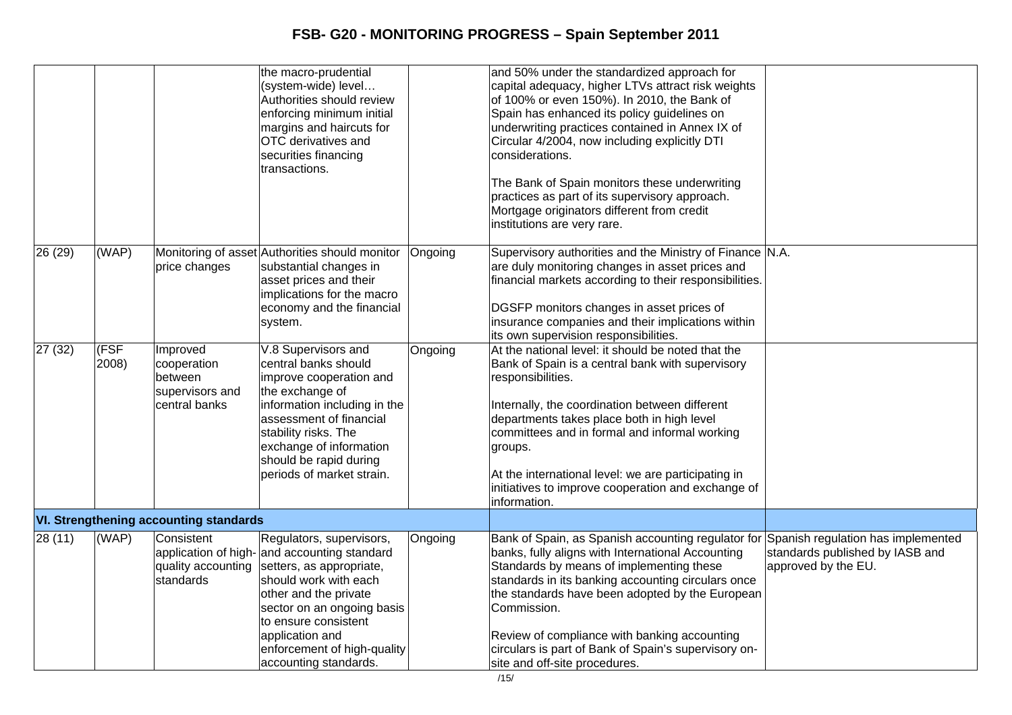|         |               |                                                                        | the macro-prudential<br>(system-wide) level<br>Authorities should review<br>enforcing minimum initial<br>margins and haircuts for<br>OTC derivatives and<br>securities financing<br>transactions.                                                                                       |         | and 50% under the standardized approach for<br>capital adequacy, higher LTVs attract risk weights<br>of 100% or even 150%). In 2010, the Bank of<br>Spain has enhanced its policy guidelines on<br>underwriting practices contained in Annex IX of<br>Circular 4/2004, now including explicitly DTI<br>considerations.<br>The Bank of Spain monitors these underwriting<br>practices as part of its supervisory approach.<br>Mortgage originators different from credit<br>institutions are very rare. |                                                        |
|---------|---------------|------------------------------------------------------------------------|-----------------------------------------------------------------------------------------------------------------------------------------------------------------------------------------------------------------------------------------------------------------------------------------|---------|--------------------------------------------------------------------------------------------------------------------------------------------------------------------------------------------------------------------------------------------------------------------------------------------------------------------------------------------------------------------------------------------------------------------------------------------------------------------------------------------------------|--------------------------------------------------------|
| 26 (29) | (WAP)         | price changes                                                          | Monitoring of asset Authorities should monitor<br>substantial changes in<br>asset prices and their<br>implications for the macro<br>economy and the financial<br>system.                                                                                                                | Ongoing | Supervisory authorities and the Ministry of Finance N.A.<br>are duly monitoring changes in asset prices and<br>financial markets according to their responsibilities.<br>DGSFP monitors changes in asset prices of<br>insurance companies and their implications within<br>its own supervision responsibilities.                                                                                                                                                                                       |                                                        |
| 27 (32) | (FSF<br>2008) | Improved<br>cooperation<br>between<br>supervisors and<br>central banks | V.8 Supervisors and<br>central banks should<br>improve cooperation and<br>the exchange of<br>information including in the<br>assessment of financial<br>stability risks. The<br>exchange of information<br>should be rapid during<br>periods of market strain.                          | Ongoing | At the national level: it should be noted that the<br>Bank of Spain is a central bank with supervisory<br>responsibilities.<br>Internally, the coordination between different<br>departments takes place both in high level<br>committees and in formal and informal working<br>groups.<br>At the international level: we are participating in<br>initiatives to improve cooperation and exchange of<br>information.                                                                                   |                                                        |
|         |               | <b>VI. Strengthening accounting standards</b>                          |                                                                                                                                                                                                                                                                                         |         |                                                                                                                                                                                                                                                                                                                                                                                                                                                                                                        |                                                        |
| 28(11)  | (WAP)         | Consistent<br>quality accounting<br>standards                          | Regulators, supervisors,<br>application of high- and accounting standard<br>setters, as appropriate,<br>should work with each<br>other and the private<br>sector on an ongoing basis<br>to ensure consistent<br>application and<br>enforcement of high-quality<br>accounting standards. | Ongoing | Bank of Spain, as Spanish accounting regulator for Spanish regulation has implemented<br>banks, fully aligns with International Accounting<br>Standards by means of implementing these<br>standards in its banking accounting circulars once<br>the standards have been adopted by the European<br>Commission.<br>Review of compliance with banking accounting<br>circulars is part of Bank of Spain's supervisory on-<br>site and off-site procedures.                                                | standards published by IASB and<br>approved by the EU. |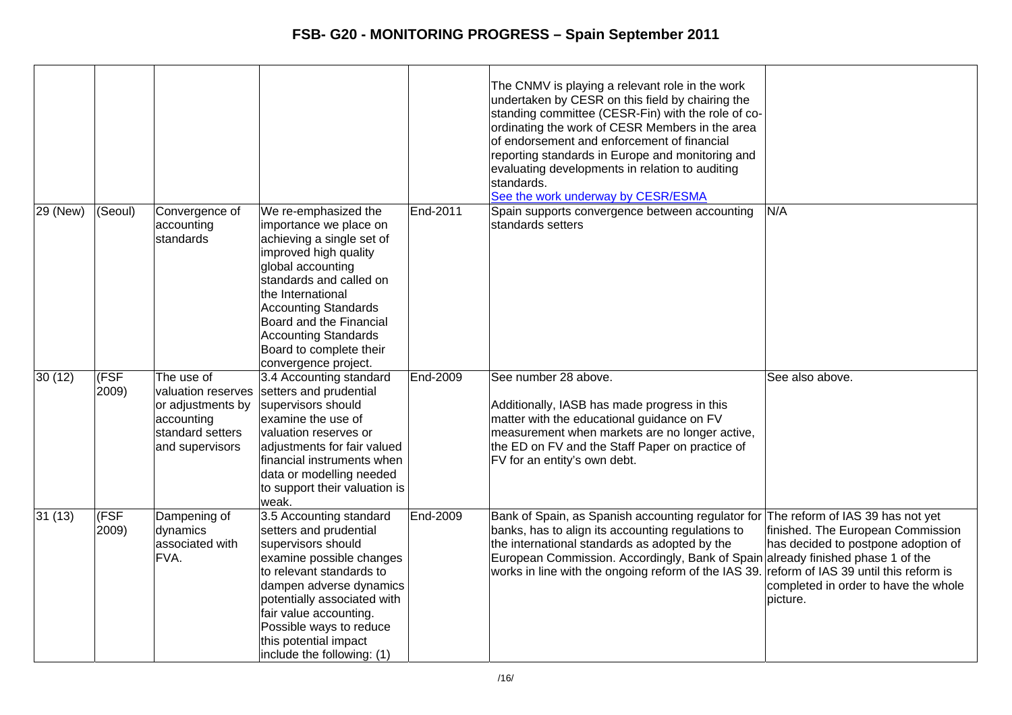|          |                                   |                                                                                                            |                                                                                                                                                                                                                                                                                                                       |                 | The CNMV is playing a relevant role in the work<br>undertaken by CESR on this field by chairing the<br>standing committee (CESR-Fin) with the role of co-<br>ordinating the work of CESR Members in the area<br>of endorsement and enforcement of financial<br>reporting standards in Europe and monitoring and<br>evaluating developments in relation to auditing<br>standards.<br>See the work underway by CESR/ESMA |                                                                                                                               |
|----------|-----------------------------------|------------------------------------------------------------------------------------------------------------|-----------------------------------------------------------------------------------------------------------------------------------------------------------------------------------------------------------------------------------------------------------------------------------------------------------------------|-----------------|------------------------------------------------------------------------------------------------------------------------------------------------------------------------------------------------------------------------------------------------------------------------------------------------------------------------------------------------------------------------------------------------------------------------|-------------------------------------------------------------------------------------------------------------------------------|
| 29 (New) | (Seoul)                           | Convergence of<br>accounting<br>standards                                                                  | We re-emphasized the<br>importance we place on<br>achieving a single set of<br>improved high quality<br>global accounting<br>standards and called on<br>the International<br><b>Accounting Standards</b><br>Board and the Financial<br><b>Accounting Standards</b><br>Board to complete their<br>convergence project. | End-2011        | Spain supports convergence between accounting<br>standards setters                                                                                                                                                                                                                                                                                                                                                     | N/A                                                                                                                           |
| 30(12)   | (FSF<br>2009)                     | The use of<br>valuation reserves<br>or adjustments by<br>accounting<br>standard setters<br>and supervisors | 3.4 Accounting standard<br>setters and prudential<br>supervisors should<br>examine the use of<br>valuation reserves or<br>adjustments for fair valued<br>financial instruments when<br>data or modelling needed<br>to support their valuation is<br>weak.                                                             | End-2009        | See number 28 above.<br>Additionally, IASB has made progress in this<br>matter with the educational guidance on FV<br>measurement when markets are no longer active,<br>the ED on FV and the Staff Paper on practice of<br>FV for an entity's own debt.                                                                                                                                                                | See also above.                                                                                                               |
| 31(13)   | $\overline{\text{(FSF}}$<br>2009) | Dampening of<br>dynamics<br>associated with<br>FVA.                                                        | 3.5 Accounting standard<br>setters and prudential<br>supervisors should<br>examine possible changes<br>to relevant standards to<br>dampen adverse dynamics<br>potentially associated with<br>fair value accounting.<br>Possible ways to reduce<br>this potential impact<br>include the following: (1)                 | <b>End-2009</b> | Bank of Spain, as Spanish accounting regulator for The reform of IAS 39 has not yet<br>banks, has to align its accounting regulations to<br>the international standards as adopted by the<br>European Commission. Accordingly, Bank of Spain already finished phase 1 of the<br>works in line with the ongoing reform of the IAS 39. reform of IAS 39 until this reform is                                             | finished. The European Commission<br>has decided to postpone adoption of<br>completed in order to have the whole<br>lpicture. |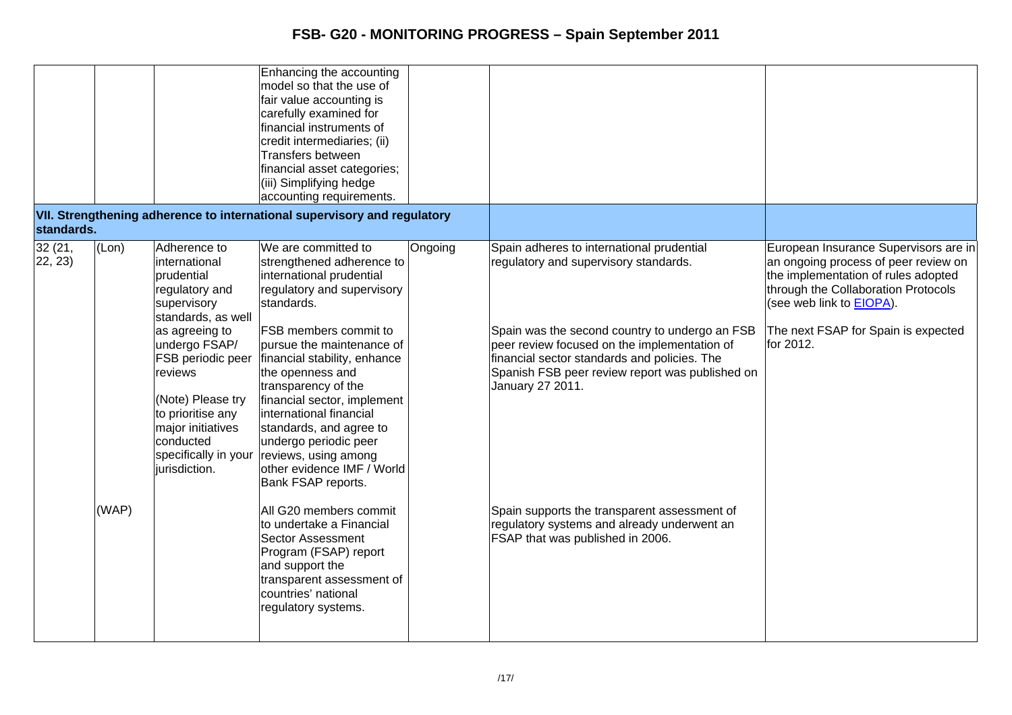| standards.        |       |                                                                                                                                                                                                                                                                                            | Enhancing the accounting<br>model so that the use of<br>fair value accounting is<br>carefully examined for<br>financial instruments of<br>credit intermediaries; (ii)<br>Transfers between<br>financial asset categories;<br>(iii) Simplifying hedge<br>accounting requirements.<br>VII. Strengthening adherence to international supervisory and regulatory                                                                                               |         |                                                                                                                                                                                                                                                                                                             |                                                                                                                                                                                                                                                     |
|-------------------|-------|--------------------------------------------------------------------------------------------------------------------------------------------------------------------------------------------------------------------------------------------------------------------------------------------|------------------------------------------------------------------------------------------------------------------------------------------------------------------------------------------------------------------------------------------------------------------------------------------------------------------------------------------------------------------------------------------------------------------------------------------------------------|---------|-------------------------------------------------------------------------------------------------------------------------------------------------------------------------------------------------------------------------------------------------------------------------------------------------------------|-----------------------------------------------------------------------------------------------------------------------------------------------------------------------------------------------------------------------------------------------------|
| 32(21,<br>22, 23) | (Lon) | Adherence to<br>international<br>prudential<br>regulatory and<br>supervisory<br>standards, as well<br>as agreeing to<br>undergo FSAP/<br>FSB periodic peer<br>reviews<br>(Note) Please try<br>to prioritise any<br>major initiatives<br>conducted<br>specifically in your<br>jurisdiction. | We are committed to<br>strengthened adherence to<br>international prudential<br>regulatory and supervisory<br>standards.<br><b>FSB</b> members commit to<br>pursue the maintenance of<br>financial stability, enhance<br>the openness and<br>transparency of the<br>financial sector, implement<br>international financial<br>standards, and agree to<br>undergo periodic peer<br>reviews, using among<br>other evidence IMF / World<br>Bank FSAP reports. | Ongoing | Spain adheres to international prudential<br>regulatory and supervisory standards.<br>Spain was the second country to undergo an FSB<br>peer review focused on the implementation of<br>financial sector standards and policies. The<br>Spanish FSB peer review report was published on<br>January 27 2011. | European Insurance Supervisors are in<br>an ongoing process of peer review on<br>the implementation of rules adopted<br>through the Collaboration Protocols<br>(see web link to <b>EIOPA</b> ).<br>The next FSAP for Spain is expected<br>for 2012. |
|                   | (WAP) |                                                                                                                                                                                                                                                                                            | All G20 members commit<br>to undertake a Financial<br><b>Sector Assessment</b><br>Program (FSAP) report<br>and support the<br>transparent assessment of<br>countries' national<br>regulatory systems.                                                                                                                                                                                                                                                      |         | Spain supports the transparent assessment of<br>regulatory systems and already underwent an<br>FSAP that was published in 2006.                                                                                                                                                                             |                                                                                                                                                                                                                                                     |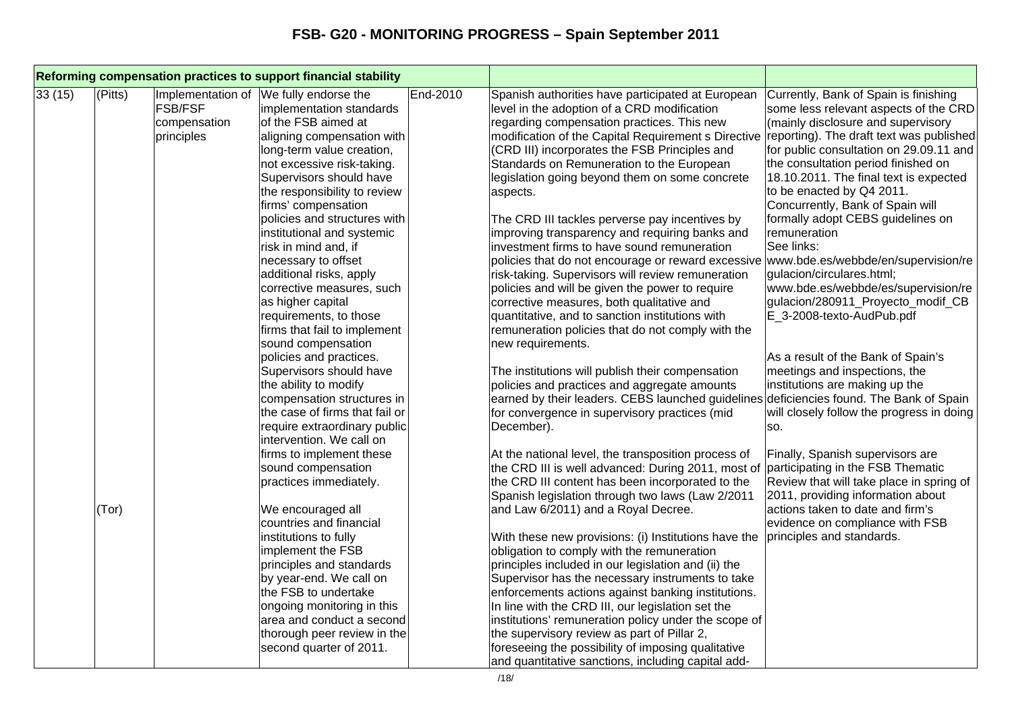| Reforming compensation practices to support financial stability |         |                                                                   |                                                                                                                                                                                                                                                                                                                                                                                                                                                                                                                                                                                                                                                                                                                                                                                                                     |          |                                                                                                                                                                                                                                                                                                                                                                                                                                                                                                                                                                                                                                                                                                                                                                                                                                                                                                                                                                                                                                                                                                                                                                                                                                                       |                                                                                                                                                                                                                                                                                                                                                                                                                                                                                                                                                                                                                                                                                                                                                                                                                                                                                                                                          |
|-----------------------------------------------------------------|---------|-------------------------------------------------------------------|---------------------------------------------------------------------------------------------------------------------------------------------------------------------------------------------------------------------------------------------------------------------------------------------------------------------------------------------------------------------------------------------------------------------------------------------------------------------------------------------------------------------------------------------------------------------------------------------------------------------------------------------------------------------------------------------------------------------------------------------------------------------------------------------------------------------|----------|-------------------------------------------------------------------------------------------------------------------------------------------------------------------------------------------------------------------------------------------------------------------------------------------------------------------------------------------------------------------------------------------------------------------------------------------------------------------------------------------------------------------------------------------------------------------------------------------------------------------------------------------------------------------------------------------------------------------------------------------------------------------------------------------------------------------------------------------------------------------------------------------------------------------------------------------------------------------------------------------------------------------------------------------------------------------------------------------------------------------------------------------------------------------------------------------------------------------------------------------------------|------------------------------------------------------------------------------------------------------------------------------------------------------------------------------------------------------------------------------------------------------------------------------------------------------------------------------------------------------------------------------------------------------------------------------------------------------------------------------------------------------------------------------------------------------------------------------------------------------------------------------------------------------------------------------------------------------------------------------------------------------------------------------------------------------------------------------------------------------------------------------------------------------------------------------------------|
| 33(15)                                                          | (Pitts) | Implementation of<br><b>FSB/FSF</b><br>compensation<br>principles | We fully endorse the<br>implementation standards<br>of the FSB aimed at<br>aligning compensation with<br>long-term value creation,<br>not excessive risk-taking.<br>Supervisors should have<br>the responsibility to review<br>firms' compensation<br>policies and structures with<br>institutional and systemic<br>risk in mind and, if<br>necessary to offset<br>additional risks, apply<br>corrective measures, such<br>as higher capital<br>requirements, to those<br>firms that fail to implement<br>sound compensation<br>policies and practices.<br>Supervisors should have<br>the ability to modify<br>compensation structures in<br>the case of firms that fail or<br>require extraordinary public<br>intervention. We call on<br>firms to implement these<br>sound compensation<br>practices immediately. | End-2010 | Spanish authorities have participated at European<br>level in the adoption of a CRD modification<br>regarding compensation practices. This new<br>modification of the Capital Requirement s Directive<br>(CRD III) incorporates the FSB Principles and<br>Standards on Remuneration to the European<br>legislation going beyond them on some concrete<br>aspects.<br>The CRD III tackles perverse pay incentives by<br>improving transparency and requiring banks and<br>investment firms to have sound remuneration<br>policies that do not encourage or reward excessive<br>risk-taking. Supervisors will review remuneration<br>policies and will be given the power to require<br>corrective measures, both qualitative and<br>quantitative, and to sanction institutions with<br>remuneration policies that do not comply with the<br>new requirements.<br>The institutions will publish their compensation<br>policies and practices and aggregate amounts<br>earned by their leaders. CEBS launched guidelines<br>for convergence in supervisory practices (mid<br>December).<br>At the national level, the transposition process of<br>the CRD III is well advanced: During 2011, most of<br>the CRD III content has been incorporated to the | Currently, Bank of Spain is finishing<br>some less relevant aspects of the CRD<br>(mainly disclosure and supervisory<br>reporting). The draft text was published<br>for public consultation on 29.09.11 and<br>the consultation period finished on<br>18.10.2011. The final text is expected<br>to be enacted by Q4 2011.<br>Concurrently, Bank of Spain will<br>formally adopt CEBS guidelines on<br>remuneration<br>See links:<br>www.bde.es/webbde/en/supervision/re<br>gulacion/circulares.html;<br>www.bde.es/webbde/es/supervision/re<br>gulacion/280911_Proyecto_modif_CB<br>E_3-2008-texto-AudPub.pdf<br>As a result of the Bank of Spain's<br>meetings and inspections, the<br>institutions are making up the<br>deficiencies found. The Bank of Spain<br>will closely follow the progress in doing<br>SO.<br>Finally, Spanish supervisors are<br>participating in the FSB Thematic<br>Review that will take place in spring of |
|                                                                 | (Tor)   |                                                                   | We encouraged all<br>countries and financial<br>institutions to fully<br>implement the FSB<br>principles and standards<br>by year-end. We call on<br>the FSB to undertake<br>ongoing monitoring in this<br>area and conduct a second<br>thorough peer review in the<br>second quarter of 2011.                                                                                                                                                                                                                                                                                                                                                                                                                                                                                                                      |          | Spanish legislation through two laws (Law 2/2011<br>and Law 6/2011) and a Royal Decree.<br>With these new provisions: (i) Institutions have the<br>obligation to comply with the remuneration<br>principles included in our legislation and (ii) the<br>Supervisor has the necessary instruments to take<br>enforcements actions against banking institutions.<br>In line with the CRD III, our legislation set the<br>institutions' remuneration policy under the scope of<br>the supervisory review as part of Pillar 2,<br>foreseeing the possibility of imposing qualitative<br>and quantitative sanctions, including capital add-                                                                                                                                                                                                                                                                                                                                                                                                                                                                                                                                                                                                                | 2011, providing information about<br>actions taken to date and firm's<br>evidence on compliance with FSB<br>principles and standards.                                                                                                                                                                                                                                                                                                                                                                                                                                                                                                                                                                                                                                                                                                                                                                                                    |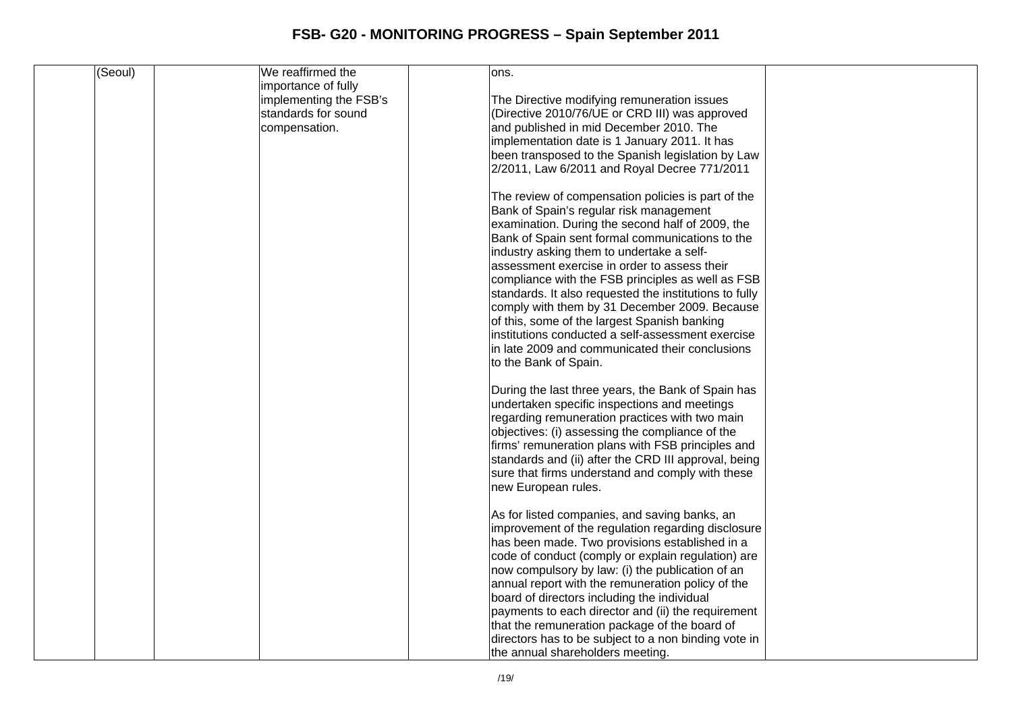| (Seoul) | We reaffirmed the      | ons.                                                   |  |
|---------|------------------------|--------------------------------------------------------|--|
|         |                        |                                                        |  |
|         | importance of fully    |                                                        |  |
|         | implementing the FSB's | The Directive modifying remuneration issues            |  |
|         | standards for sound    | (Directive 2010/76/UE or CRD III) was approved         |  |
|         | compensation.          | and published in mid December 2010. The                |  |
|         |                        | implementation date is 1 January 2011. It has          |  |
|         |                        | been transposed to the Spanish legislation by Law      |  |
|         |                        | 2/2011, Law 6/2011 and Royal Decree 771/2011           |  |
|         |                        |                                                        |  |
|         |                        |                                                        |  |
|         |                        | The review of compensation policies is part of the     |  |
|         |                        | Bank of Spain's regular risk management                |  |
|         |                        | examination. During the second half of 2009, the       |  |
|         |                        | Bank of Spain sent formal communications to the        |  |
|         |                        | industry asking them to undertake a self-              |  |
|         |                        | assessment exercise in order to assess their           |  |
|         |                        | compliance with the FSB principles as well as FSB      |  |
|         |                        | standards. It also requested the institutions to fully |  |
|         |                        |                                                        |  |
|         |                        | comply with them by 31 December 2009. Because          |  |
|         |                        | of this, some of the largest Spanish banking           |  |
|         |                        | institutions conducted a self-assessment exercise      |  |
|         |                        | in late 2009 and communicated their conclusions        |  |
|         |                        | to the Bank of Spain.                                  |  |
|         |                        |                                                        |  |
|         |                        | During the last three years, the Bank of Spain has     |  |
|         |                        | undertaken specific inspections and meetings           |  |
|         |                        | regarding remuneration practices with two main         |  |
|         |                        |                                                        |  |
|         |                        | objectives: (i) assessing the compliance of the        |  |
|         |                        | firms' remuneration plans with FSB principles and      |  |
|         |                        | standards and (ii) after the CRD III approval, being   |  |
|         |                        | sure that firms understand and comply with these       |  |
|         |                        | new European rules.                                    |  |
|         |                        |                                                        |  |
|         |                        | As for listed companies, and saving banks, an          |  |
|         |                        | improvement of the regulation regarding disclosure     |  |
|         |                        | has been made. Two provisions established in a         |  |
|         |                        | code of conduct (comply or explain regulation) are     |  |
|         |                        |                                                        |  |
|         |                        | now compulsory by law: (i) the publication of an       |  |
|         |                        | annual report with the remuneration policy of the      |  |
|         |                        | board of directors including the individual            |  |
|         |                        | payments to each director and (ii) the requirement     |  |
|         |                        | that the remuneration package of the board of          |  |
|         |                        | directors has to be subject to a non binding vote in   |  |
|         |                        | the annual shareholders meeting.                       |  |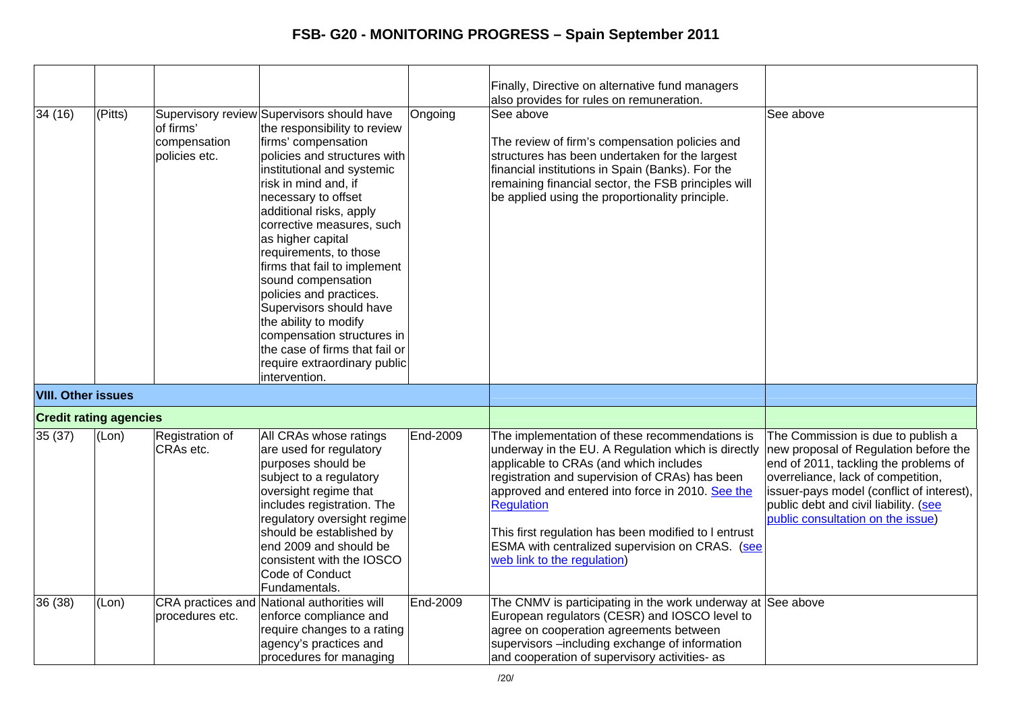|                           |                               |                                            |                                                                                                                                                                                                                                                                                                                                                                                                                                                                                                                                                                             |          | Finally, Directive on alternative fund managers<br>also provides for rules on remuneration.                                                                                                                                                                                                                                                                                                                         |                                                                                                                                                                                                                                                                                       |
|---------------------------|-------------------------------|--------------------------------------------|-----------------------------------------------------------------------------------------------------------------------------------------------------------------------------------------------------------------------------------------------------------------------------------------------------------------------------------------------------------------------------------------------------------------------------------------------------------------------------------------------------------------------------------------------------------------------------|----------|---------------------------------------------------------------------------------------------------------------------------------------------------------------------------------------------------------------------------------------------------------------------------------------------------------------------------------------------------------------------------------------------------------------------|---------------------------------------------------------------------------------------------------------------------------------------------------------------------------------------------------------------------------------------------------------------------------------------|
| 34 (16)                   | (Pitts)                       | of firms'<br>compensation<br>policies etc. | Supervisory review Supervisors should have<br>the responsibility to review<br>firms' compensation<br>policies and structures with<br>institutional and systemic<br>risk in mind and, if<br>necessary to offset<br>additional risks, apply<br>corrective measures, such<br>as higher capital<br>requirements, to those<br>firms that fail to implement<br>sound compensation<br>policies and practices.<br>Supervisors should have<br>the ability to modify<br>compensation structures in<br>the case of firms that fail or<br>require extraordinary public<br>intervention. | Ongoing  | See above<br>The review of firm's compensation policies and<br>structures has been undertaken for the largest<br>financial institutions in Spain (Banks). For the<br>remaining financial sector, the FSB principles will<br>be applied using the proportionality principle.                                                                                                                                         | See above                                                                                                                                                                                                                                                                             |
| <b>VIII. Other issues</b> |                               |                                            |                                                                                                                                                                                                                                                                                                                                                                                                                                                                                                                                                                             |          |                                                                                                                                                                                                                                                                                                                                                                                                                     |                                                                                                                                                                                                                                                                                       |
|                           | <b>Credit rating agencies</b> |                                            |                                                                                                                                                                                                                                                                                                                                                                                                                                                                                                                                                                             |          |                                                                                                                                                                                                                                                                                                                                                                                                                     |                                                                                                                                                                                                                                                                                       |
| 35 (37)                   | (Lon)                         | Registration of<br>CRAs etc.               | All CRAs whose ratings<br>are used for regulatory<br>purposes should be<br>subject to a regulatory<br>oversight regime that<br>includes registration. The<br>regulatory oversight regime<br>should be established by<br>end 2009 and should be<br>consistent with the IOSCO<br>Code of Conduct<br>Fundamentals.                                                                                                                                                                                                                                                             | End-2009 | The implementation of these recommendations is<br>underway in the EU. A Regulation which is directly<br>applicable to CRAs (and which includes<br>registration and supervision of CRAs) has been<br>approved and entered into force in 2010. See the<br><b>Requlation</b><br>This first regulation has been modified to I entrust<br>ESMA with centralized supervision on CRAS. (see<br>web link to the regulation) | The Commission is due to publish a<br>new proposal of Regulation before the<br>end of 2011, tackling the problems of<br>overreliance, lack of competition,<br>issuer-pays model (conflict of interest),<br>public debt and civil liability. (see<br>public consultation on the issue) |
| 36 (38)                   | (Lon)                         | procedures etc.                            | CRA practices and National authorities will<br>enforce compliance and<br>require changes to a rating<br>agency's practices and<br>procedures for managing                                                                                                                                                                                                                                                                                                                                                                                                                   | End-2009 | The CNMV is participating in the work underway at See above<br>European regulators (CESR) and IOSCO level to<br>agree on cooperation agreements between<br>supervisors -including exchange of information<br>and cooperation of supervisory activities- as                                                                                                                                                          |                                                                                                                                                                                                                                                                                       |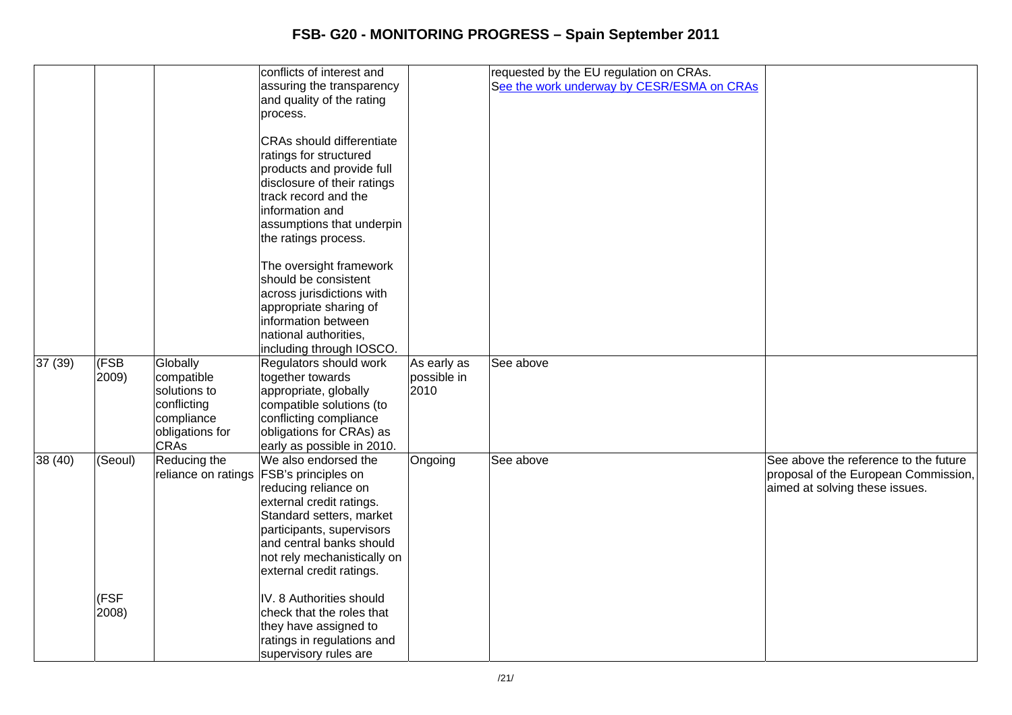|        |         |                 | conflicts of interest and                 |             | requested by the EU regulation on CRAs.    |                                       |
|--------|---------|-----------------|-------------------------------------------|-------------|--------------------------------------------|---------------------------------------|
|        |         |                 | assuring the transparency                 |             | See the work underway by CESR/ESMA on CRAs |                                       |
|        |         |                 | and quality of the rating                 |             |                                            |                                       |
|        |         |                 |                                           |             |                                            |                                       |
|        |         |                 | process.                                  |             |                                            |                                       |
|        |         |                 | <b>CRAs should differentiate</b>          |             |                                            |                                       |
|        |         |                 |                                           |             |                                            |                                       |
|        |         |                 | ratings for structured                    |             |                                            |                                       |
|        |         |                 | products and provide full                 |             |                                            |                                       |
|        |         |                 | disclosure of their ratings               |             |                                            |                                       |
|        |         |                 | track record and the                      |             |                                            |                                       |
|        |         |                 | information and                           |             |                                            |                                       |
|        |         |                 | assumptions that underpin                 |             |                                            |                                       |
|        |         |                 | the ratings process.                      |             |                                            |                                       |
|        |         |                 | The oversight framework                   |             |                                            |                                       |
|        |         |                 | should be consistent                      |             |                                            |                                       |
|        |         |                 | across jurisdictions with                 |             |                                            |                                       |
|        |         |                 | appropriate sharing of                    |             |                                            |                                       |
|        |         |                 | information between                       |             |                                            |                                       |
|        |         |                 | national authorities,                     |             |                                            |                                       |
|        |         |                 | including through IOSCO.                  |             |                                            |                                       |
| 37(39) | (FSB)   | Globally        | Regulators should work                    | As early as | See above                                  |                                       |
|        | 2009)   | compatible      | together towards                          | possible in |                                            |                                       |
|        |         | solutions to    | appropriate, globally                     | 2010        |                                            |                                       |
|        |         | conflicting     | compatible solutions (to                  |             |                                            |                                       |
|        |         | compliance      | conflicting compliance                    |             |                                            |                                       |
|        |         | obligations for | obligations for CRAs) as                  |             |                                            |                                       |
|        |         | <b>CRAs</b>     | early as possible in 2010.                |             |                                            |                                       |
| 38(40) | (Seoul) | Reducing the    | We also endorsed the                      | Ongoing     | See above                                  | See above the reference to the future |
|        |         |                 | reliance on ratings   FSB's principles on |             |                                            | proposal of the European Commission,  |
|        |         |                 | reducing reliance on                      |             |                                            | aimed at solving these issues.        |
|        |         |                 | external credit ratings.                  |             |                                            |                                       |
|        |         |                 | Standard setters, market                  |             |                                            |                                       |
|        |         |                 | participants, supervisors                 |             |                                            |                                       |
|        |         |                 | and central banks should                  |             |                                            |                                       |
|        |         |                 | not rely mechanistically on               |             |                                            |                                       |
|        |         |                 | external credit ratings.                  |             |                                            |                                       |
|        | (FSF    |                 | IV. 8 Authorities should                  |             |                                            |                                       |
|        | 2008)   |                 | check that the roles that                 |             |                                            |                                       |
|        |         |                 | they have assigned to                     |             |                                            |                                       |
|        |         |                 |                                           |             |                                            |                                       |
|        |         |                 | ratings in regulations and                |             |                                            |                                       |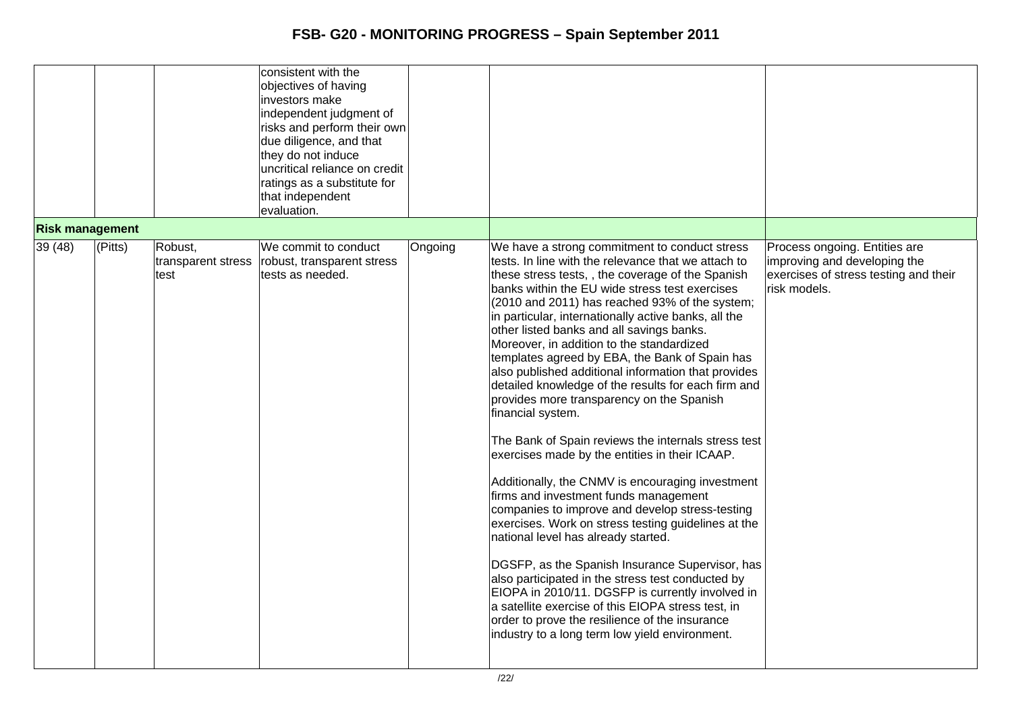|                        |         |                                       | consistent with the<br>objectives of having<br>investors make<br>independent judgment of<br>risks and perform their own<br>due diligence, and that<br>they do not induce |         |                                                                                                                                                                                                                                                                                                                                                                                                                                                                                                                                                                                                                                                                                                                                                                                                                                                                                                                                                                                                                                                                                                                                                                                                                                                                                                                               |                                                                                                                        |
|------------------------|---------|---------------------------------------|--------------------------------------------------------------------------------------------------------------------------------------------------------------------------|---------|-------------------------------------------------------------------------------------------------------------------------------------------------------------------------------------------------------------------------------------------------------------------------------------------------------------------------------------------------------------------------------------------------------------------------------------------------------------------------------------------------------------------------------------------------------------------------------------------------------------------------------------------------------------------------------------------------------------------------------------------------------------------------------------------------------------------------------------------------------------------------------------------------------------------------------------------------------------------------------------------------------------------------------------------------------------------------------------------------------------------------------------------------------------------------------------------------------------------------------------------------------------------------------------------------------------------------------|------------------------------------------------------------------------------------------------------------------------|
|                        |         |                                       | uncritical reliance on credit                                                                                                                                            |         |                                                                                                                                                                                                                                                                                                                                                                                                                                                                                                                                                                                                                                                                                                                                                                                                                                                                                                                                                                                                                                                                                                                                                                                                                                                                                                                               |                                                                                                                        |
|                        |         |                                       | ratings as a substitute for<br>that independent                                                                                                                          |         |                                                                                                                                                                                                                                                                                                                                                                                                                                                                                                                                                                                                                                                                                                                                                                                                                                                                                                                                                                                                                                                                                                                                                                                                                                                                                                                               |                                                                                                                        |
|                        |         |                                       | evaluation.                                                                                                                                                              |         |                                                                                                                                                                                                                                                                                                                                                                                                                                                                                                                                                                                                                                                                                                                                                                                                                                                                                                                                                                                                                                                                                                                                                                                                                                                                                                                               |                                                                                                                        |
| <b>Risk management</b> |         |                                       |                                                                                                                                                                          |         |                                                                                                                                                                                                                                                                                                                                                                                                                                                                                                                                                                                                                                                                                                                                                                                                                                                                                                                                                                                                                                                                                                                                                                                                                                                                                                                               |                                                                                                                        |
| 39(48)                 | (Pitts) | Robust,<br>transparent stress<br>test | We commit to conduct<br>robust, transparent stress<br>tests as needed.                                                                                                   | Ongoing | We have a strong commitment to conduct stress<br>tests. In line with the relevance that we attach to<br>these stress tests,, the coverage of the Spanish<br>banks within the EU wide stress test exercises<br>(2010 and 2011) has reached 93% of the system;<br>in particular, internationally active banks, all the<br>other listed banks and all savings banks.<br>Moreover, in addition to the standardized<br>templates agreed by EBA, the Bank of Spain has<br>also published additional information that provides<br>detailed knowledge of the results for each firm and<br>provides more transparency on the Spanish<br>financial system.<br>The Bank of Spain reviews the internals stress test<br>exercises made by the entities in their ICAAP.<br>Additionally, the CNMV is encouraging investment<br>firms and investment funds management<br>companies to improve and develop stress-testing<br>exercises. Work on stress testing guidelines at the<br>national level has already started.<br>DGSFP, as the Spanish Insurance Supervisor, has<br>also participated in the stress test conducted by<br>EIOPA in 2010/11. DGSFP is currently involved in<br>a satellite exercise of this EIOPA stress test, in<br>order to prove the resilience of the insurance<br>industry to a long term low yield environment. | Process ongoing. Entities are<br>improving and developing the<br>exercises of stress testing and their<br>risk models. |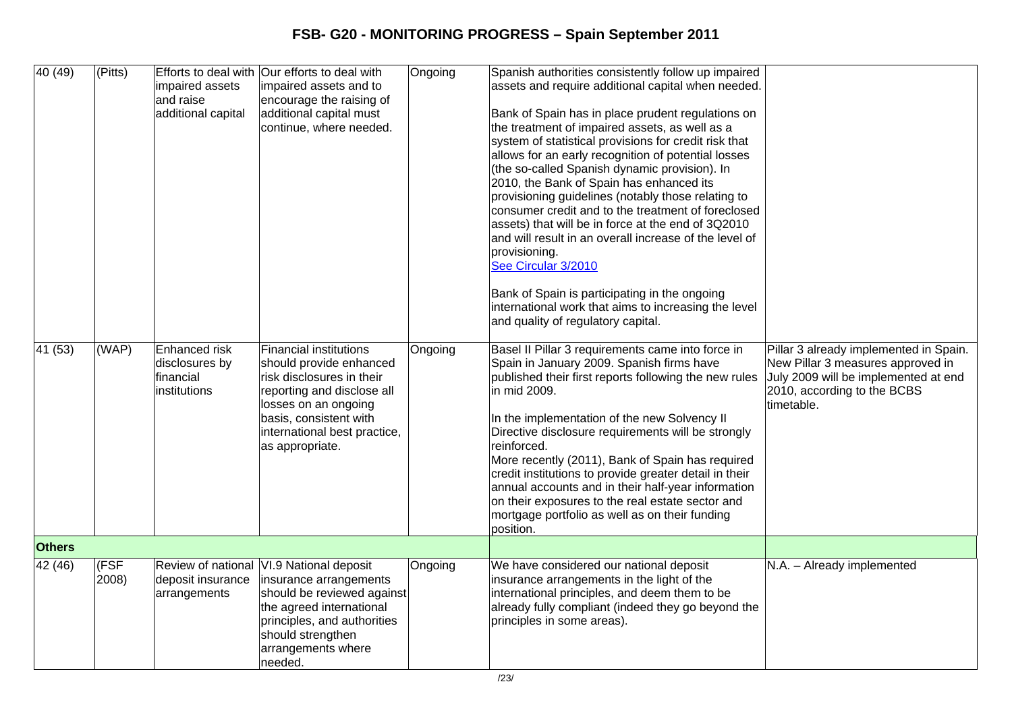| 40(49)<br>$\overline{41}$ (53) | (Pitts)<br>$\overline{(WAP)}$ | impaired assets<br>and raise<br>additional capital<br>Enhanced risk<br>disclosures by<br>financial<br>institutions | Efforts to deal with Our efforts to deal with<br>impaired assets and to<br>encourage the raising of<br>additional capital must<br>continue, where needed.<br><b>Financial institutions</b><br>should provide enhanced<br>risk disclosures in their<br>reporting and disclose all<br>losses on an ongoing<br>basis, consistent with<br>international best practice,<br>as appropriate. | Ongoing<br>Ongoing | Spanish authorities consistently follow up impaired<br>assets and require additional capital when needed.<br>Bank of Spain has in place prudent regulations on<br>the treatment of impaired assets, as well as a<br>system of statistical provisions for credit risk that<br>allows for an early recognition of potential losses<br>(the so-called Spanish dynamic provision). In<br>2010, the Bank of Spain has enhanced its<br>provisioning guidelines (notably those relating to<br>consumer credit and to the treatment of foreclosed<br>assets) that will be in force at the end of 3Q2010<br>and will result in an overall increase of the level of<br>provisioning.<br>See Circular 3/2010<br>Bank of Spain is participating in the ongoing<br>international work that aims to increasing the level<br>and quality of regulatory capital.<br>Basel II Pillar 3 requirements came into force in<br>Spain in January 2009. Spanish firms have<br>published their first reports following the new rules<br>in mid 2009.<br>In the implementation of the new Solvency II<br>Directive disclosure requirements will be strongly<br>reinforced.<br>More recently (2011), Bank of Spain has required<br>credit institutions to provide greater detail in their<br>annual accounts and in their half-year information<br>on their exposures to the real estate sector and<br>mortgage portfolio as well as on their funding<br>position. | Pillar 3 already implemented in Spain.<br>New Pillar 3 measures approved in<br>July 2009 will be implemented at end<br>2010, according to the BCBS<br>timetable. |
|--------------------------------|-------------------------------|--------------------------------------------------------------------------------------------------------------------|---------------------------------------------------------------------------------------------------------------------------------------------------------------------------------------------------------------------------------------------------------------------------------------------------------------------------------------------------------------------------------------|--------------------|-----------------------------------------------------------------------------------------------------------------------------------------------------------------------------------------------------------------------------------------------------------------------------------------------------------------------------------------------------------------------------------------------------------------------------------------------------------------------------------------------------------------------------------------------------------------------------------------------------------------------------------------------------------------------------------------------------------------------------------------------------------------------------------------------------------------------------------------------------------------------------------------------------------------------------------------------------------------------------------------------------------------------------------------------------------------------------------------------------------------------------------------------------------------------------------------------------------------------------------------------------------------------------------------------------------------------------------------------------------------------------------------------------------------------------------------|------------------------------------------------------------------------------------------------------------------------------------------------------------------|
| <b>Others</b>                  |                               |                                                                                                                    |                                                                                                                                                                                                                                                                                                                                                                                       |                    |                                                                                                                                                                                                                                                                                                                                                                                                                                                                                                                                                                                                                                                                                                                                                                                                                                                                                                                                                                                                                                                                                                                                                                                                                                                                                                                                                                                                                                         |                                                                                                                                                                  |
| 42 (46)                        | (FSF<br>2008)                 | deposit insurance<br>arrangements                                                                                  | Review of national VI.9 National deposit<br>insurance arrangements<br>should be reviewed against<br>the agreed international<br>principles, and authorities<br>should strengthen<br>arrangements where<br>Ineeded.                                                                                                                                                                    | Ongoing            | We have considered our national deposit<br>insurance arrangements in the light of the<br>international principles, and deem them to be<br>already fully compliant (indeed they go beyond the<br>principles in some areas).                                                                                                                                                                                                                                                                                                                                                                                                                                                                                                                                                                                                                                                                                                                                                                                                                                                                                                                                                                                                                                                                                                                                                                                                              | N.A. - Already implemented                                                                                                                                       |